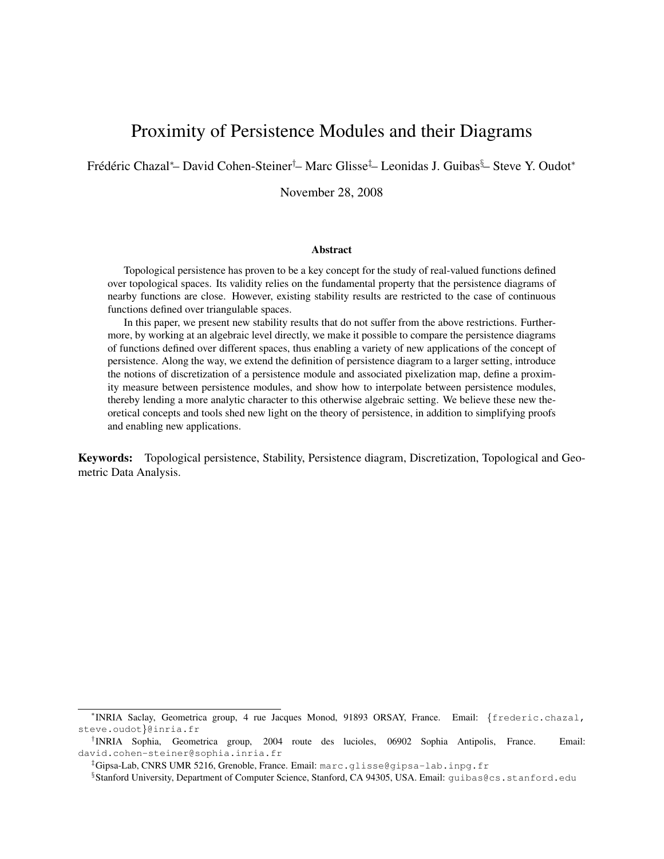# Proximity of Persistence Modules and their Diagrams

Frédéric Chazal\*– David Cohen-Steiner<sup>†</sup>– Marc Glisse<sup>‡</sup>– Leonidas J. Guibas<sup>§</sup>– Steve Y. Oudot\*

November 28, 2008

#### **Abstract**

Topological persistence has proven to be a key concept for the study of real-valued functions defined over topological spaces. Its validity relies on the fundamental property that the persistence diagrams of nearby functions are close. However, existing stability results are restricted to the case of continuous functions defined over triangulable spaces.

In this paper, we present new stability results that do not suffer from the above restrictions. Furthermore, by working at an algebraic level directly, we make it possible to compare the persistence diagrams of functions defined over different spaces, thus enabling a variety of new applications of the concept of persistence. Along the way, we extend the definition of persistence diagram to a larger setting, introduce the notions of discretization of a persistence module and associated pixelization map, define a proximity measure between persistence modules, and show how to interpolate between persistence modules, thereby lending a more analytic character to this otherwise algebraic setting. We believe these new theoretical concepts and tools shed new light on the theory of persistence, in addition to simplifying proofs and enabling new applications.

Keywords: Topological persistence, Stability, Persistence diagram, Discretization, Topological and Geometric Data Analysis.

<sup>∗</sup> INRIA Saclay, Geometrica group, 4 rue Jacques Monod, 91893 ORSAY, France. Email: {frederic.chazal, steve.oudot}@inria.fr

<sup>†</sup> INRIA Sophia, Geometrica group, 2004 route des lucioles, 06902 Sophia Antipolis, France. Email: david.cohen-steiner@sophia.inria.fr

<sup>‡</sup>Gipsa-Lab, CNRS UMR 5216, Grenoble, France. Email: marc.glisse@gipsa-lab.inpg.fr

<sup>§</sup> Stanford University, Department of Computer Science, Stanford, CA 94305, USA. Email: guibas@cs.stanford.edu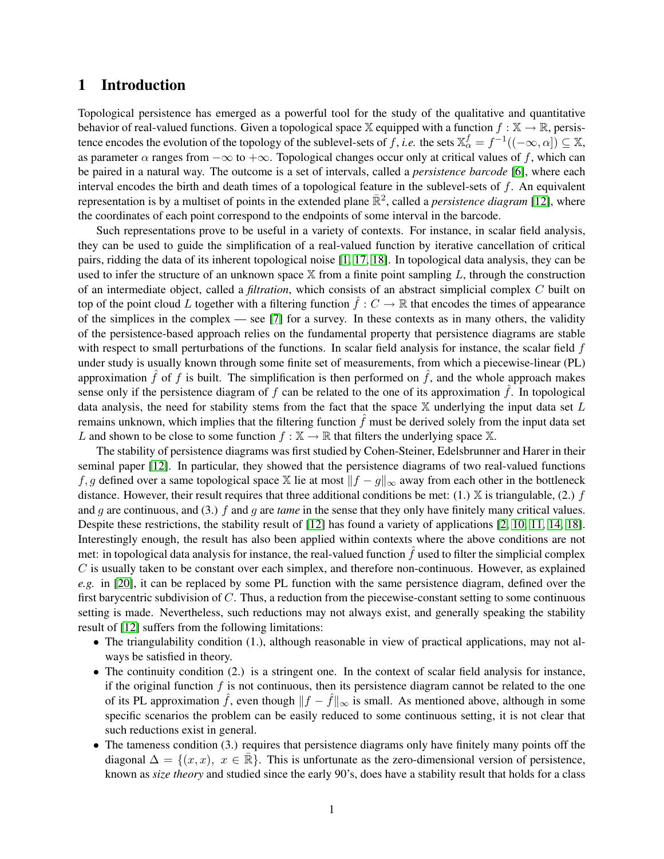### 1 Introduction

Topological persistence has emerged as a powerful tool for the study of the qualitative and quantitative behavior of real-valued functions. Given a topological space X equipped with a function  $f : X \to \mathbb{R}$ , persistence encodes the evolution of the topology of the sublevel-sets of f, *i.e.* the sets  $\mathbb{X}_{\alpha}^f = f^{-1}((-\infty, \alpha]) \subseteq \mathbb{X}$ , as parameter  $\alpha$  ranges from  $-\infty$  to  $+\infty$ . Topological changes occur only at critical values of f, which can be paired in a natural way. The outcome is a set of intervals, called a *persistence barcode* [\[6\]](#page-11-0), where each interval encodes the birth and death times of a topological feature in the sublevel-sets of  $f$ . An equivalent representation is by a multiset of points in the extended plane  $\mathbb{R}^2$ , called a *persistence diagram* [\[12\]](#page-11-1), where the coordinates of each point correspond to the endpoints of some interval in the barcode.

Such representations prove to be useful in a variety of contexts. For instance, in scalar field analysis, they can be used to guide the simplification of a real-valued function by iterative cancellation of critical pairs, ridding the data of its inherent topological noise [\[1,](#page-11-2) [17,](#page-12-0) [18\]](#page-12-1). In topological data analysis, they can be used to infer the structure of an unknown space  $X$  from a finite point sampling  $L$ , through the construction of an intermediate object, called a *filtration*, which consists of an abstract simplicial complex C built on top of the point cloud L together with a filtering function  $\hat{f}: C \to \mathbb{R}$  that encodes the times of appearance of the simplices in the complex — see [\[7\]](#page-11-3) for a survey. In these contexts as in many others, the validity of the persistence-based approach relies on the fundamental property that persistence diagrams are stable with respect to small perturbations of the functions. In scalar field analysis for instance, the scalar field f under study is usually known through some finite set of measurements, from which a piecewise-linear (PL) approximation  $\hat{f}$  of f is built. The simplification is then performed on  $\hat{f}$ , and the whole approach makes sense only if the persistence diagram of  $f$  can be related to the one of its approximation  $f$ . In topological data analysis, the need for stability stems from the fact that the space  $X$  underlying the input data set  $L$ remains unknown, which implies that the filtering function  $\hat{f}$  must be derived solely from the input data set L and shown to be close to some function  $f : \mathbb{X} \to \mathbb{R}$  that filters the underlying space  $\mathbb{X}$ .

The stability of persistence diagrams was first studied by Cohen-Steiner, Edelsbrunner and Harer in their seminal paper [\[12\]](#page-11-1). In particular, they showed that the persistence diagrams of two real-valued functions f, g defined over a same topological space X lie at most  $||f - g||_{\infty}$  away from each other in the bottleneck distance. However, their result requires that three additional conditions be met:  $(1)$ . X is triangulable,  $(2)$  f and g are continuous, and (3.) f and g are *tame* in the sense that they only have finitely many critical values. Despite these restrictions, the stability result of [\[12\]](#page-11-1) has found a variety of applications [\[2,](#page-11-4) [10,](#page-11-5) [11,](#page-11-6) [14,](#page-11-7) [18\]](#page-12-1). Interestingly enough, the result has also been applied within contexts where the above conditions are not met: in topological data analysis for instance, the real-valued function  $\hat{f}$  used to filter the simplicial complex  $C$  is usually taken to be constant over each simplex, and therefore non-continuous. However, as explained *e.g.* in [\[20\]](#page-12-2), it can be replaced by some PL function with the same persistence diagram, defined over the first barycentric subdivision of C. Thus, a reduction from the piecewise-constant setting to some continuous setting is made. Nevertheless, such reductions may not always exist, and generally speaking the stability result of [\[12\]](#page-11-1) suffers from the following limitations:

- The triangulability condition (1.), although reasonable in view of practical applications, may not always be satisfied in theory.
- The continuity condition (2.) is a stringent one. In the context of scalar field analysis for instance, if the original function  $f$  is not continuous, then its persistence diagram cannot be related to the one of its PL approximation  $\hat{f}$ , even though  $||f - \hat{f}||_{\infty}$  is small. As mentioned above, although in some specific scenarios the problem can be easily reduced to some continuous setting, it is not clear that such reductions exist in general.
- The tameness condition (3.) requires that persistence diagrams only have finitely many points off the diagonal  $\Delta = \{(x, x), x \in \mathbb{R}\}.$  This is unfortunate as the zero-dimensional version of persistence, known as *size theory* and studied since the early 90's, does have a stability result that holds for a class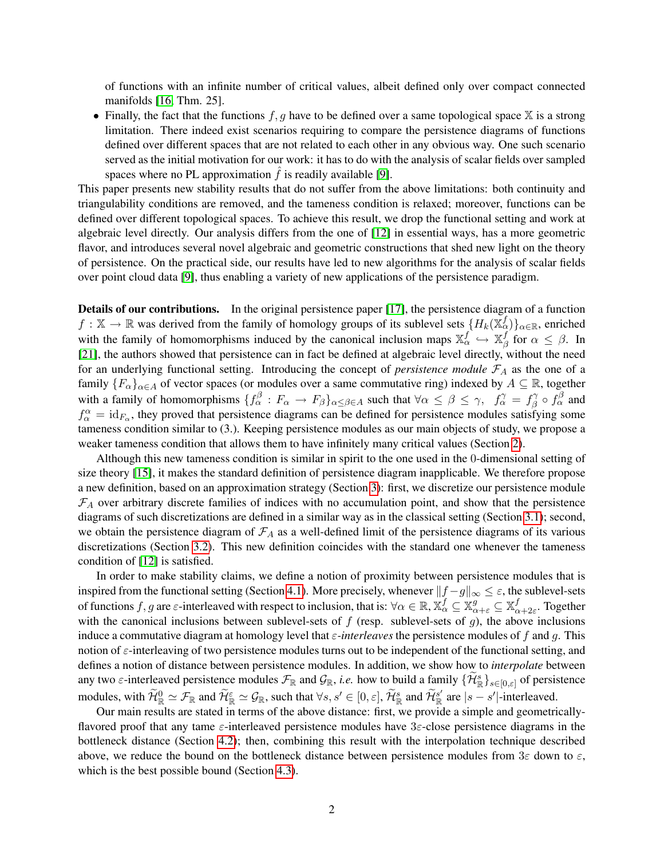of functions with an infinite number of critical values, albeit defined only over compact connected manifolds [\[16,](#page-11-8) Thm. 25].

• Finally, the fact that the functions  $f, g$  have to be defined over a same topological space  $X$  is a strong limitation. There indeed exist scenarios requiring to compare the persistence diagrams of functions defined over different spaces that are not related to each other in any obvious way. One such scenario served as the initial motivation for our work: it has to do with the analysis of scalar fields over sampled spaces where no PL approximation  $\hat{f}$  is readily available [\[9\]](#page-11-9).

This paper presents new stability results that do not suffer from the above limitations: both continuity and triangulability conditions are removed, and the tameness condition is relaxed; moreover, functions can be defined over different topological spaces. To achieve this result, we drop the functional setting and work at algebraic level directly. Our analysis differs from the one of [\[12\]](#page-11-1) in essential ways, has a more geometric flavor, and introduces several novel algebraic and geometric constructions that shed new light on the theory of persistence. On the practical side, our results have led to new algorithms for the analysis of scalar fields over point cloud data [\[9\]](#page-11-9), thus enabling a variety of new applications of the persistence paradigm.

Details of our contributions. In the original persistence paper [\[17\]](#page-12-0), the persistence diagram of a function  $f: \mathbb{X} \to \mathbb{R}$  was derived from the family of homology groups of its sublevel sets  $\{H_k(\mathbb{X}_{\alpha}^f)\}_{\alpha \in \mathbb{R}}$ , enriched with the family of homomorphisms induced by the canonical inclusion maps  $\mathbb{X}_{\alpha}^f \hookrightarrow \mathbb{X}_{\beta}^f$  $\frac{J}{\beta}$  for  $\alpha \leq \beta$ . In [\[21\]](#page-12-3), the authors showed that persistence can in fact be defined at algebraic level directly, without the need for an underlying functional setting. Introducing the concept of *persistence module*  $\mathcal{F}_A$  as the one of a family  ${F_\alpha}_{\alpha\in A}$  of vector spaces (or modules over a same commutative ring) indexed by  $A \subseteq \mathbb{R}$ , together with a family of homomorphisms  $\{f_\alpha^\beta : F_\alpha \to F_\beta\}_{\alpha \leq \beta \in A}$  such that  $\forall \alpha \leq \beta \leq \gamma$ ,  $f_\alpha^\gamma = f_\beta^\gamma$  $f^{\gamma}_{\beta} \circ f^{\beta}_{\alpha}$  and  $f_{\alpha}^{\alpha} = id_{F_{\alpha}}$ , they proved that persistence diagrams can be defined for persistence modules satisfying some tameness condition similar to (3.). Keeping persistence modules as our main objects of study, we propose a weaker tameness condition that allows them to have infinitely many critical values (Section [2\)](#page-3-0).

Although this new tameness condition is similar in spirit to the one used in the 0-dimensional setting of size theory [\[15\]](#page-11-10), it makes the standard definition of persistence diagram inapplicable. We therefore propose a new definition, based on an approximation strategy (Section [3\)](#page-4-0): first, we discretize our persistence module  $\mathcal{F}_A$  over arbitrary discrete families of indices with no accumulation point, and show that the persistence diagrams of such discretizations are defined in a similar way as in the classical setting (Section [3.1\)](#page-4-1); second, we obtain the persistence diagram of  $\mathcal{F}_A$  as a well-defined limit of the persistence diagrams of its various discretizations (Section [3.2\)](#page-5-0). This new definition coincides with the standard one whenever the tameness condition of [\[12\]](#page-11-1) is satisfied.

In order to make stability claims, we define a notion of proximity between persistence modules that is inspired from the functional setting (Section [4.1\)](#page-7-0). More precisely, whenever  $||f - g||_{\infty} \leq \varepsilon$ , the sublevel-sets of functions  $f,g$  are  $\varepsilon$ -interleaved with respect to inclusion, that is:  $\forall \alpha \in \mathbb{R}, \mathbb{X}^f_\alpha \subseteq \mathbb{X}^g_{\alpha+\varepsilon} \subseteq \mathbb{X}^f_\alpha$  $\frac{J}{\alpha+2\varepsilon}$ . Together with the canonical inclusions between sublevel-sets of  $f$  (resp. sublevel-sets of  $g$ ), the above inclusions induce a commutative diagram at homology level that  $\varepsilon$ -*interleaves* the persistence modules of f and q. This notion of  $\varepsilon$ -interleaving of two persistence modules turns out to be independent of the functional setting, and defines a notion of distance between persistence modules. In addition, we show how to *interpolate* between any two  $\varepsilon$ -interleaved persistence modules  $\mathcal{F}_{\mathbb{R}}$  and  $\mathcal{G}_{\mathbb{R}}$ , *i.e.* how to build a family  $\{\widetilde{\mathcal{H}}^s_{\mathbb{R}}\}_{s\in[0,\varepsilon]}$  of persistence modules, with  $\widetilde{\mathcal{H}}_{\mathbb{R}}^0 \simeq \mathcal{F}_{\mathbb{R}}$  and  $\widetilde{\mathcal{H}}_{\mathbb{R}}^{\varepsilon} \simeq \mathcal{G}_{\mathbb{R}}$ , such that  $\forall s, s' \in [0, \varepsilon], \widetilde{\mathcal{H}}_{\mathbb{R}}^s$  and  $\widetilde{\mathcal{H}}_{\mathbb{R}}^{s'}$  are  $|s - s'|$ -interleaved.

Our main results are stated in terms of the above distance: first, we provide a simple and geometricallyflavored proof that any tame  $\varepsilon$ -interleaved persistence modules have  $3\varepsilon$ -close persistence diagrams in the bottleneck distance (Section [4.2\)](#page-8-0); then, combining this result with the interpolation technique described above, we reduce the bound on the bottleneck distance between persistence modules from  $3\varepsilon$  down to  $\varepsilon$ , which is the best possible bound (Section [4.3\)](#page-8-1).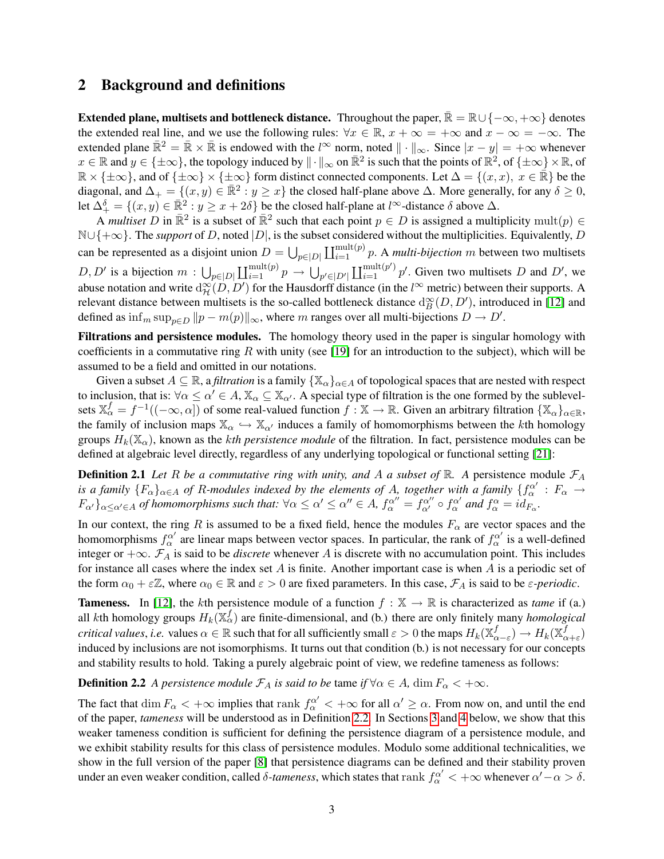### <span id="page-3-0"></span>2 Background and definitions

Extended plane, multisets and bottleneck distance. Throughout the paper,  $\overline{\mathbb{R}} = \mathbb{R} \cup \{-\infty, +\infty\}$  denotes the extended real line, and we use the following rules:  $\forall x \in \mathbb{R}, x + \infty = +\infty$  and  $x - \infty = -\infty$ . The extended plane  $\bar{\mathbb{R}}^2 = \bar{\mathbb{R}} \times \bar{\mathbb{R}}$  is endowed with the l<sup>∞</sup> norm, noted  $\|\cdot\|_{\infty}$ . Since  $|x - y| = +\infty$  whenever  $x \in \mathbb{R}$  and  $y \in \{\pm \infty\}$ , the topology induced by  $\|\cdot\|_{\infty}$  on  $\mathbb{R}^2$  is such that the points of  $\mathbb{R}^2$ , of  $\{\pm \infty\} \times \mathbb{R}$ , of  $\mathbb{R} \times \{\pm \infty\}$ , and of  $\{\pm \infty\} \times \{\pm \infty\}$  form distinct connected components. Let  $\Delta = \{(x, x), x \in \mathbb{R}\}$  be the diagonal, and  $\Delta_+ = \{(x, y) \in \mathbb{R}^2 : y \geq x\}$  the closed half-plane above  $\Delta$ . More generally, for any  $\delta \geq 0$ , let  $\Delta_{+}^{\delta} = \{(x, y) \in \mathbb{R}^2 : y \geq x + 2\delta\}$  be the closed half-plane at l<sup>∞</sup>-distance  $\delta$  above  $\Delta$ .

A *multiset* D in  $\mathbb{R}^2$  is a subset of  $\mathbb{R}^2$  such that each point  $p \in D$  is assigned a multiplicity mult $(p) \in$  $\mathbb{N}\cup\{+\infty\}$ . The *support* of D, noted  $|D|$ , is the subset considered without the multiplicities. Equivalently, D can be represented as a disjoint union  $D = \bigcup_{p \in |D|} \coprod_{i=1}^{\text{mult}(p)} p$ . A *multi-bijection m* between two multisets  $D, D'$  is a bijection  $m: \bigcup_{p\in |D|} \coprod_{i=1}^{\text{mult}(p)} p \to \bigcup_{p'\in |D'|} \coprod_{i=1}^{\text{mult}(p')} p'$ . Given two multisets D and D', we abuse notation and write  $d_{\mathcal{H}}^{\infty}(D, D')$  for the Hausdorff distance (in the l<sup>∞</sup> metric) between their supports. A relevant distance between multisets is the so-called bottleneck distance  $d_B^{\infty}(D, D')$ , introduced in [\[12\]](#page-11-1) and defined as  $\inf_m \sup_{p \in D} ||p - m(p)||_{\infty}$ , where m ranges over all multi-bijections  $D \to D'$ .

Filtrations and persistence modules. The homology theory used in the paper is singular homology with coefficients in a commutative ring R with unity (see [\[19\]](#page-12-4) for an introduction to the subject), which will be assumed to be a field and omitted in our notations.

Given a subset  $A \subseteq \mathbb{R}$ , a *filtration* is a family  $\{X_\alpha\}_{\alpha \in A}$  of topological spaces that are nested with respect to inclusion, that is:  $\forall \alpha \leq \alpha' \in A$ ,  $\mathbb{X}_{\alpha} \subseteq \mathbb{X}_{\alpha'}$ . A special type of filtration is the one formed by the sublevelsets  $\mathbb{X}_{\alpha}^f = f^{-1}((-\infty,\alpha])$  of some real-valued function  $f : \mathbb{X} \to \mathbb{R}$ . Given an arbitrary filtration  $\{\mathbb{X}_{\alpha}\}_{\alpha \in \mathbb{R}}$ , the family of inclusion maps  $\mathbb{X}_{\alpha} \hookrightarrow \mathbb{X}_{\alpha'}$  induces a family of homomorphisms between the kth homology groups  $H_k(\mathbb{X}_{\alpha})$ , known as the *kth persistence module* of the filtration. In fact, persistence modules can be defined at algebraic level directly, regardless of any underlying topological or functional setting [\[21\]](#page-12-3):

**Definition 2.1** Let R be a commutative ring with unity, and A a subset of R. A persistence module  $\mathcal{F}_A$ *is a family*  $\{F_\alpha\}_{\alpha\in A}$  *of R-modules indexed by the elements of A, together with a family*  $\{f_\alpha^{\alpha'}: F_\alpha \to f_\alpha\}$  $F_{\alpha'}\}_{\alpha \leq \alpha' \in A}$  of homomorphisms such that:  $\forall \alpha \leq \alpha' \leq \alpha'' \in A$ ,  $f_{\alpha}^{\alpha''} = f_{\alpha'}^{\alpha''} \circ f_{\alpha}^{\alpha'}$  and  $f_{\alpha}^{\alpha} = id_{F_{\alpha}}$ .

In our context, the ring R is assumed to be a fixed field, hence the modules  $F_\alpha$  are vector spaces and the homomorphisms  $f_\alpha^{\alpha'}$  are linear maps between vector spaces. In particular, the rank of  $f_\alpha^{\alpha'}$  is a well-defined integer or +∞. F<sup>A</sup> is said to be *discrete* whenever A is discrete with no accumulation point. This includes for instance all cases where the index set  $A$  is finite. Another important case is when  $A$  is a periodic set of the form  $\alpha_0 + \varepsilon \mathbb{Z}$ , where  $\alpha_0 \in \mathbb{R}$  and  $\varepsilon > 0$  are fixed parameters. In this case,  $\mathcal{F}_A$  is said to be  $\varepsilon$ -periodic.

**Tameness.** In [\[12\]](#page-11-1), the kth persistence module of a function  $f : \mathbb{X} \to \mathbb{R}$  is characterized as *tame* if (a.) all kth homology groups  $H_k(\mathbb{X}_{\alpha}^f)$  are finite-dimensional, and (b.) there are only finitely many *homological critical values, i.e.* values  $\alpha \in \mathbb{R}$  such that for all sufficiently small  $\varepsilon >0$  the maps  $H_k(\mathbb{X}_{\alpha}^f)$  $f_{\alpha-\varepsilon}$ )  $\to H_k(\mathbb{X}_o^f)$  $_{\alpha+\varepsilon}^{J})$ induced by inclusions are not isomorphisms. It turns out that condition (b.) is not necessary for our concepts and stability results to hold. Taking a purely algebraic point of view, we redefine tameness as follows:

### <span id="page-3-1"></span>**Definition 2.2** *A persistence module*  $\mathcal{F}_A$  *is said to be tame if*  $\forall \alpha \in A$ , dim  $F_\alpha < +\infty$ .

The fact that  $\dim F_\alpha < +\infty$  implies that rank  $f_\alpha^{\alpha'} < +\infty$  for all  $\alpha' \ge \alpha$ . From now on, and until the end of the paper, *tameness* will be understood as in Definition [2.2.](#page-3-1) In Sections [3](#page-4-0) and [4](#page-7-1) below, we show that this weaker tameness condition is sufficient for defining the persistence diagram of a persistence module, and we exhibit stability results for this class of persistence modules. Modulo some additional technicalities, we show in the full version of the paper [\[8\]](#page-11-11) that persistence diagrams can be defined and their stability proven under an even weaker condition, called  $\delta$ -tameness, which states that rank  $f^{\alpha'}_{\alpha} < +\infty$  whenever  $\alpha' - \alpha > \delta$ .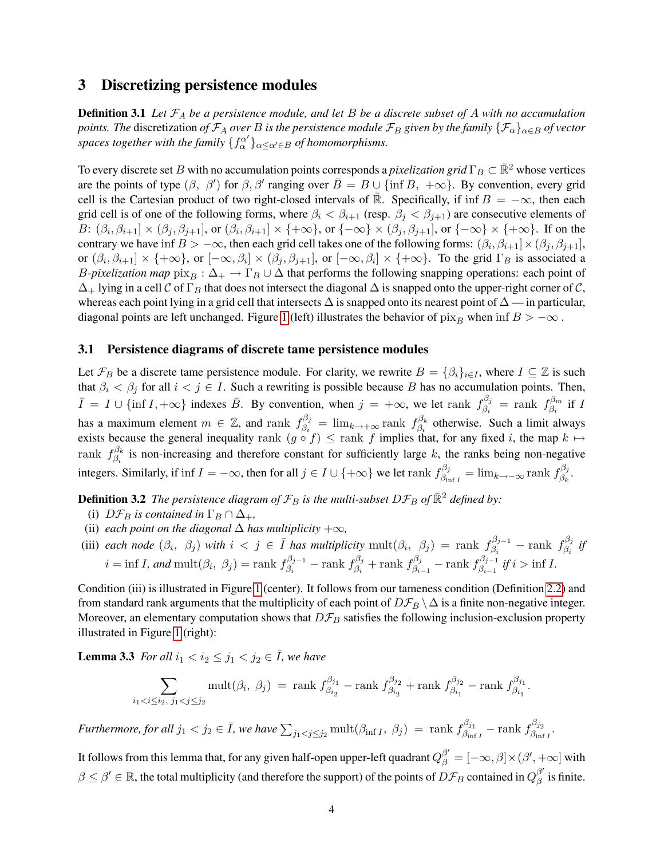### <span id="page-4-0"></span>3 Discretizing persistence modules

Definition 3.1 *Let* F<sup>A</sup> *be a persistence module, and let* B *be a discrete subset of* A *with no accumulation points. The discretization of*  $\mathcal{F}_A$  *over* B *is the persistence module*  $\mathcal{F}_B$  *given by the family*  $\{\mathcal{F}_\alpha\}_{\alpha \in B}$  *of vector* spaces together with the family  $\{f_\alpha^{\alpha'}\}_{\alpha \leq \alpha' \in B}$  of homomorphisms.

To every discrete set B with no accumulation points corresponds a *pixelization grid*  $\Gamma_B \subset \mathbb{R}^2$  whose vertices are the points of type  $(\beta, \beta')$  for  $\beta, \beta'$  ranging over  $\overline{B} = B \cup \{\inf B, +\infty\}$ . By convention, every grid cell is the Cartesian product of two right-closed intervals of R. Specifically, if inf  $B = -\infty$ , then each grid cell is of one of the following forms, where  $\beta_i < \beta_{i+1}$  (resp.  $\beta_i < \beta_{i+1}$ ) are consecutive elements of B:  $(\beta_i, \beta_{i+1}] \times (\beta_j, \beta_{j+1}]$ , or  $(\beta_i, \beta_{i+1}] \times \{\pm \infty\}$ , or  $\{-\infty\} \times (\beta_j, \beta_{j+1}]$ , or  $\{-\infty\} \times \{\pm \infty\}$ . If on the contrary we have inf  $B > -\infty$ , then each grid cell takes one of the following forms:  $(\beta_i, \beta_{i+1}] \times (\beta_j, \beta_{j+1}]$ , or  $(\beta_i, \beta_{i+1}] \times \{\infty\}$ , or  $[-\infty, \beta_i] \times (\beta_j, \beta_{j+1}]$ , or  $[-\infty, \beta_i] \times \{\infty\}$ . To the grid  $\Gamma_B$  is associated a *B-pixelization map*  $\mathrm{pix}_B : \Delta_+ \to \Gamma_B \cup \Delta$  that performs the following snapping operations: each point of  $\Delta_+$  lying in a cell C of  $\Gamma_B$  that does not intersect the diagonal  $\Delta$  is snapped onto the upper-right corner of C, whereas each point lying in a grid cell that intersects  $\Delta$  is snapped onto its nearest point of  $\Delta$  — in particular, diagonal points are left unchanged. Figure [1](#page-5-1) (left) illustrates the behavior of  $\chi_{B}$  when inf  $B > -\infty$ .

#### <span id="page-4-1"></span>3.1 Persistence diagrams of discrete tame persistence modules

Let  $\mathcal{F}_B$  be a discrete tame persistence module. For clarity, we rewrite  $B = \{\beta_i\}_{i \in I}$ , where  $I \subseteq \mathbb{Z}$  is such that  $\beta_i < \beta_j$  for all  $i < j \in I$ . Such a rewriting is possible because B has no accumulation points. Then,  $\bar{I} = I \cup \{\inf I, +\infty\}$  indexes  $\bar{B}$ . By convention, when  $j = +\infty$ , we let rank  $f_{\beta_i}^{\beta_j}$ .  $\begin{array}{rcl} \beta_j & = & \mathrm{rank} \,\,\, f_{\beta_i}^{\beta_m} \end{array}$  $\stackrel{\cdot}{\beta_i}$  if  $I$ has a maximum element  $m \in \mathbb{Z}$ , and rank  $f_{\beta_i}^{\beta_j}$  $\beta_j^{\beta_j} = \lim_{k \to +\infty} \text{rank} \; f_{\beta_i}^{\beta_k}$  $\beta_i^{b_k}$  otherwise. Such a limit always exists because the general inequality rank  $(g \circ f) \leq$  rank f implies that, for any fixed i, the map  $k \mapsto$ rank  $f_{\beta}^{\beta_k}$  $\beta_i$  is non-increasing and therefore constant for sufficiently large k, the ranks being non-negative integers. Similarly, if inf  $I = -\infty$ , then for all  $j \in I \cup \{+\infty\}$  we let rank  $f_A^{\beta_j}$  $\beta_{\inf I}^{\beta_j}=\lim_{k\to-\infty} \mathrm{rank}\; f_{\beta_k}^{\beta_j}$  $\frac{\beta_j}{\beta_k}$  .

**Definition 3.2** *The persistence diagram of*  $\mathcal{F}_B$  *is the multi-subset*  $D\mathcal{F}_B$  *of*  $\mathbb{R}^2$  *defined by:* 

- (i)  $D\mathcal{F}_B$  *is contained in*  $\Gamma_B \cap \Delta_+$ *,*
- (ii) *each point on the diagonal*  $\Delta$  *has multiplicity*  $+\infty$ *,*
- (iii) *each node*  $(\beta_i, \beta_j)$  *with*  $i < j \in \overline{I}$  *has multiplicity* mult $(\beta_i, \beta_j)$  = rank  $f_{\beta_i}^{\beta_{j-1}}$  $\frac{\beta_{j-1}}{\beta_i}$  – rank  $f_{\beta_i}^{\beta_j}$  $\stackrel{\cdot}{\beta_i}$ <sup>*if*</sup>  $i = \inf I$ , and  $\text{mult}(\beta_i, \beta_j) = \text{rank } f_{\beta_i}^{\beta_j - 1}$  $\frac{\beta_{j-1}}{\beta_i} - \text{rank}~ f_{\beta_i}^{\beta_j}$  $f_{\beta_i}^{\beta_j}$  + rank  $f_{\beta_i}^{\beta_j}$  $\frac{\beta_j}{\beta_{i-1}}-\text{rank}\ f^{\beta_{j-1}}_{\beta_{i-1}}$ <sup>*i* $\beta_{i-1}$ </sup> if i > inf I.

Condition (iii) is illustrated in Figure [1](#page-5-1) (center). It follows from our tameness condition (Definition [2.2\)](#page-3-1) and from standard rank arguments that the multiplicity of each point of  $D\mathcal{F}_B \setminus \Delta$  is a finite non-negative integer. Moreover, an elementary computation shows that  $D\mathcal{F}_B$  satisfies the following inclusion-exclusion property illustrated in Figure [1](#page-5-1) (right):

**Lemma 3.3** *For all*  $i_1 < i_2 \leq j_1 < j_2 \in \overline{I}$ *, we have* 

<span id="page-4-2"></span>
$$
\sum_{i_1 < i \le i_2, \ j_1 < j \le j_2} \text{mult}(\beta_i, \ \beta_j) \ = \ \text{rank } f_{\beta_{i_2}}^{\beta_{j_1}} - \text{rank } f_{\beta_{i_2}}^{\beta_{j_2}} + \text{rank } f_{\beta_{i_1}}^{\beta_{j_2}} - \text{rank } f_{\beta_{i_1}}^{\beta_{j_1}}.
$$

*Furthermore, for all*  $j_1 < j_2 \in \bar{I}$ *, we have*  $\sum_{j_1 < j \leq j_2} \mathrm{mult}(\beta_{\inf I}, \ \beta_j) = \mathrm{rank} \ f_{\beta_{\inf}}^{\beta_{j_1}}$  $\frac{\beta_{j_1}}{\beta_{\inf I}} - \text{rank}~ f_{\beta_{\inf}}^{\beta_{j_2}}$  $\frac{\beta_{j2}}{\beta_{\inf I}}$ .

It follows from this lemma that, for any given half-open upper-left quadrant  $Q_\beta^{\beta'}=[-\infty,\beta]\times(\beta',+\infty]$  with  $\beta \le \beta' \in \mathbb{R}$ , the total multiplicity (and therefore the support) of the points of  $D\mathcal{F}_B$  contained in  $Q_\beta^{\beta'}$  $\frac{\beta}{\beta}$  is finite.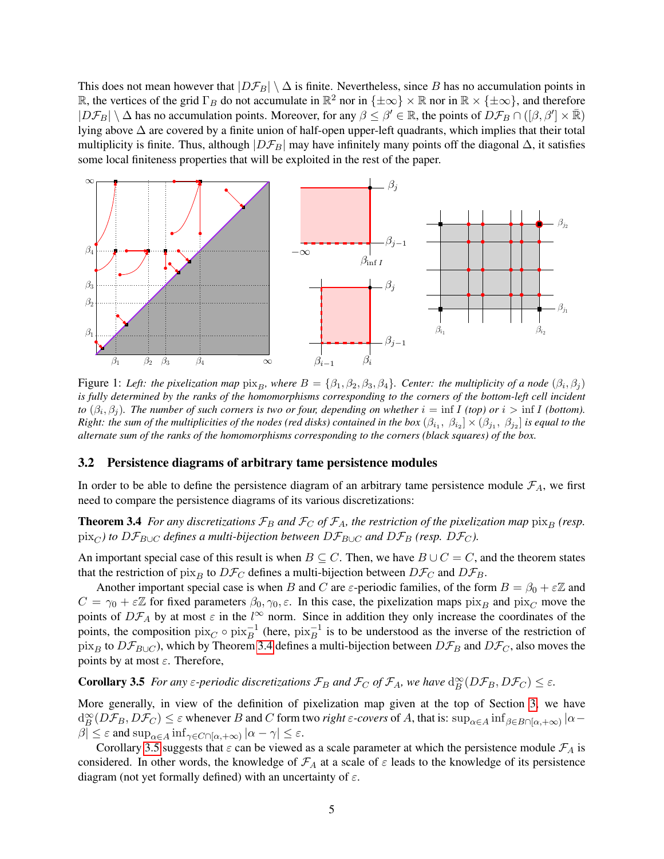This does not mean however that  $|D\mathcal{F}_B| \setminus \Delta$  is finite. Nevertheless, since B has no accumulation points in R, the vertices of the grid  $\Gamma_B$  do not accumulate in  $\mathbb{R}^2$  nor in  $\{\pm \infty\} \times \mathbb{R}$  nor in  $\mathbb{R} \times \{\pm \infty\}$ , and therefore  $|D\mathcal{F}_B| \setminus \Delta$  has no accumulation points. Moreover, for any  $\beta \leq \beta' \in \mathbb{R}$ , the points of  $D\mathcal{F}_B \cap ([\beta, \beta'] \times \overline{\mathbb{R}})$ lying above ∆ are covered by a finite union of half-open upper-left quadrants, which implies that their total multiplicity is finite. Thus, although  $|D\mathcal{F}_B|$  may have infinitely many points off the diagonal  $\Delta$ , it satisfies some local finiteness properties that will be exploited in the rest of the paper.



<span id="page-5-1"></span>Figure 1: Left: the pixelization map  $\lim_{B}$ , where  $B = \{\beta_1, \beta_2, \beta_3, \beta_4\}$ . Center: the multiplicity of a node  $(\beta_i, \beta_j)$ *is fully determined by the ranks of the homomorphisms corresponding to the corners of the bottom-left cell incident to*  $(\beta_i, \beta_j)$ . The number of such corners is two or four, depending on whether  $i = \inf I$  (top) or  $i > \inf I$  (bottom).  $Right:$  the sum of the multiplicities of the nodes (red disks) contained in the box  $(\beta_{i_1},\ \beta_{i_2}]\times(\beta_{j_1},\ \beta_{j_2}]$  is equal to the *alternate sum of the ranks of the homomorphisms corresponding to the corners (black squares) of the box.*

#### <span id="page-5-0"></span>3.2 Persistence diagrams of arbitrary tame persistence modules

<span id="page-5-2"></span>In order to be able to define the persistence diagram of an arbitrary tame persistence module  $\mathcal{F}_A$ , we first need to compare the persistence diagrams of its various discretizations:

**Theorem 3.4** *For any discretizations*  $\mathcal{F}_B$  *and*  $\mathcal{F}_C$  *of*  $\mathcal{F}_A$ *, the restriction of the pixelization map*  $\frac{\partial x}{\partial P}$  *(resp.*  $\frac{\partial \text{pix}_C}{\partial \text{Var}}$  *to*  $D\mathcal{F}_{B\cup C}$  *defines a multi-bijection between*  $D\mathcal{F}_{B\cup C}$  *and*  $D\mathcal{F}_B$  (resp.  $D\mathcal{F}_C$ ).

An important special case of this result is when  $B \subseteq C$ . Then, we have  $B \cup C = C$ , and the theorem states that the restriction of pix<sub>B</sub> to  $D\mathcal{F}_C$  defines a multi-bijection between  $D\mathcal{F}_C$  and  $D\mathcal{F}_B$ .

Another important special case is when B and C are  $\varepsilon$ -periodic families, of the form  $B = \beta_0 + \varepsilon \mathbb{Z}$  and  $C = \gamma_0 + \varepsilon \mathbb{Z}$  for fixed parameters  $\beta_0, \gamma_0, \varepsilon$ . In this case, the pixelization maps pix<sub>B</sub> and pix<sub>C</sub> move the points of  $D\mathcal{F}_A$  by at most  $\varepsilon$  in the  $l^{\infty}$  norm. Since in addition they only increase the coordinates of the points, the composition  $\text{pix}_C \circ \text{pix}_B^{-1}$  (here,  $\text{pix}_B^{-1}$  is to be understood as the inverse of the restriction of pix<sub>B</sub> to  $D\mathcal{F}_{B\cup C}$ ), which by Theorem [3.4](#page-5-2) defines a multi-bijection between  $D\mathcal{F}_{B}$  and  $D\mathcal{F}_{C}$ , also moves the points by at most  $\varepsilon$ . Therefore,

<span id="page-5-3"></span>**Corollary 3.5** *For any*  $\varepsilon$ -periodic discretizations  $\mathcal{F}_B$  and  $\mathcal{F}_C$  of  $\mathcal{F}_A$ , we have  $d_B^{\infty}(D\mathcal{F}_B, D\mathcal{F}_C) \leq \varepsilon$ .

More generally, in view of the definition of pixelization map given at the top of Section [3,](#page-4-0) we have  $\deg(B\mathcal{F}_B, D\mathcal{F}_C) \leq \varepsilon$  whenever B and C form two *right*  $\varepsilon$ -covers of A, that is:  $\sup_{\alpha \in A} \inf_{\beta \in B \cap [\alpha, +\infty)} |\alpha - \beta|$  $\beta$ |  $\leq \varepsilon$  and  $\sup_{\alpha \in A} \inf_{\gamma \in C \cap [\alpha, +\infty)} |\alpha - \gamma| \leq \varepsilon$ .

Corollary [3.5](#page-5-3) suggests that  $\varepsilon$  can be viewed as a scale parameter at which the persistence module  $\mathcal{F}_A$  is considered. In other words, the knowledge of  $\mathcal{F}_A$  at a scale of  $\varepsilon$  leads to the knowledge of its persistence diagram (not yet formally defined) with an uncertainty of  $\varepsilon$ .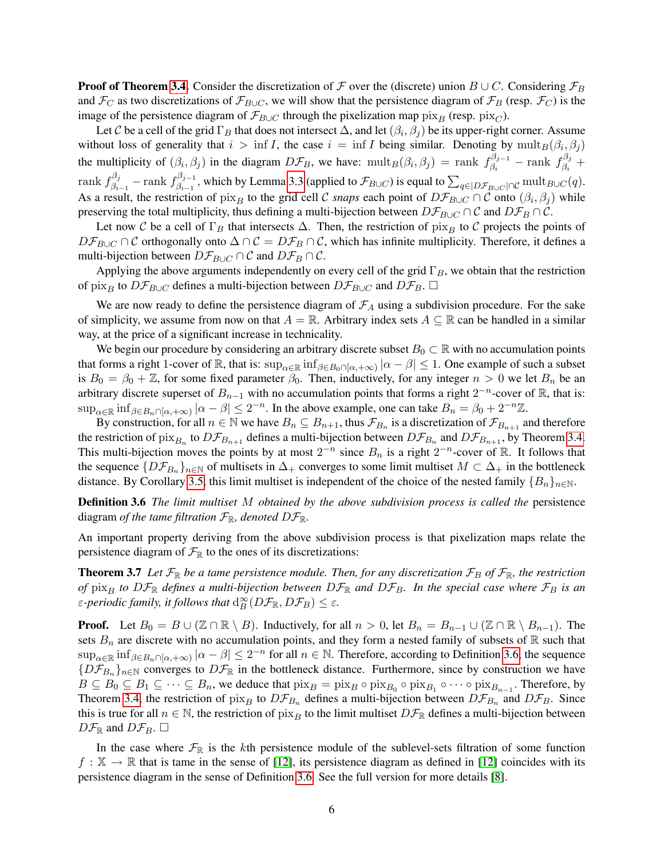**Proof of Theorem [3.4.](#page-5-2)** Consider the discretization of F over the (discrete) union  $B \cup C$ . Considering  $\mathcal{F}_B$ and  $\mathcal{F}_C$  as two discretizations of  $\mathcal{F}_{B\cup C}$ , we will show that the persistence diagram of  $\mathcal{F}_B$  (resp.  $\mathcal{F}_C$ ) is the image of the persistence diagram of  $\mathcal{F}_{B\cup C}$  through the pixelization map  $\hat{pr}_{B}$  (resp.  $\hat{pr}_{C}$ ).

Let C be a cell of the grid  $\Gamma_B$  that does not intersect  $\Delta$ , and let  $(\beta_i, \beta_j)$  be its upper-right corner. Assume without loss of generality that  $i > \inf I$ , the case  $i = \inf I$  being similar. Denoting by  $\text{mult}_B(\beta_i, \beta_j)$ the multiplicity of  $(\beta_i, \beta_j)$  in the diagram  $D\mathcal{F}_B$ , we have:  $\text{mult}_B(\beta_i, \beta_j) = \text{rank } f_{\beta_i}^{\beta_{j-1}}$  $\beta_j^{\beta_{j-1}}$  – rank  $f_{\beta_i}^{\beta_j}$  $\frac{\partial \rho_j}{\partial_i}$  + rank  $f^{\beta_j}_{\beta_i}$  $\frac{\beta_j}{\beta_{i-1}}$  —  $\mathrm{rank}~ f_{\beta_{i-1}}^{\beta_{j-1}}$  $\beta_{\beta-1}^{D_j-1}$ , which by Lemma [3.3](#page-4-2) (applied to  $\mathcal{F}_{B\cup C}$ ) is equal to  $\sum_{q\in |D\mathcal{F}_{B\cup C}|\cap C} \operatorname{mult}_{B\cup C}(q)$ . As a result, the restriction of  $\lim_B$  to the grid cell C *snaps* each point of  $D\mathcal{F}_{B\cup C} \cap C$  onto  $(\beta_i, \beta_j)$  while preserving the total multiplicity, thus defining a multi-bijection between  $D\mathcal{F}_{B\cup C} \cap C$  and  $D\mathcal{F}_{B} \cap C$ .

Let now C be a cell of  $\Gamma_B$  that intersects  $\Delta$ . Then, the restriction of pix<sub>B</sub> to C projects the points of  $D\mathcal{F}_{B\cup C} \cap C$  orthogonally onto  $\Delta \cap C = D\mathcal{F}_B \cap C$ , which has infinite multiplicity. Therefore, it defines a multi-bijection between  $D\mathcal{F}_{B\cup C} \cap \mathcal{C}$  and  $D\mathcal{F}_{B} \cap \mathcal{C}$ .

Applying the above arguments independently on every cell of the grid  $\Gamma_B$ , we obtain that the restriction of pix<sub>B</sub> to  $D\mathcal{F}_{B\cup C}$  defines a multi-bijection between  $D\mathcal{F}_{B\cup C}$  and  $D\mathcal{F}_{B}$ .  $\square$ 

We are now ready to define the persistence diagram of  $\mathcal{F}_A$  using a subdivision procedure. For the sake of simplicity, we assume from now on that  $A = \mathbb{R}$ . Arbitrary index sets  $A \subseteq \mathbb{R}$  can be handled in a similar way, at the price of a significant increase in technicality.

We begin our procedure by considering an arbitrary discrete subset  $B_0 \subset \mathbb{R}$  with no accumulation points that forms a right 1-cover of  $\mathbb R$ , that is:  $\sup_{\alpha \in \mathbb R} \inf_{\beta \in B_0 \cap [\alpha, +\infty)} |\alpha - \beta| \leq 1$ . One example of such a subset is  $B_0 = \beta_0 + \mathbb{Z}$ , for some fixed parameter  $\beta_0$ . Then, inductively, for any integer  $n > 0$  we let  $B_n$  be an arbitrary discrete superset of  $B_{n-1}$  with no accumulation points that forms a right  $2^{-n}$ -cover of R, that is:  $\sup_{\alpha \in \mathbb{R}} \inf_{\beta \in B_n \cap [\alpha, +\infty)} |\alpha - \beta| \leq 2^{-n}$ . In the above example, one can take  $B_n = \beta_0 + 2^{-n}\mathbb{Z}$ .

By construction, for all  $n \in \mathbb{N}$  we have  $B_n \subseteq B_{n+1}$ , thus  $\mathcal{F}_{B_n}$  is a discretization of  $\mathcal{F}_{B_{n+1}}$  and therefore the restriction of  $\lim_{B_n}$  to  $D\mathcal{F}_{B_{n+1}}$  defines a multi-bijection between  $D\mathcal{F}_{B_n}$  and  $D\mathcal{F}_{B_{n+1}}$ , by Theorem [3.4.](#page-5-2) This multi-bijection moves the points by at most  $2^{-n}$  since  $B_n$  is a right  $2^{-n}$ -cover of R. It follows that the sequence  $\{D\mathcal{F}_{B_n}\}_{n\in\mathbb{N}}$  of multisets in  $\Delta_+$  converges to some limit multiset  $M\subset \Delta_+$  in the bottleneck distance. By Corollary [3.5,](#page-5-3) this limit multiset is independent of the choice of the nested family  $\{B_n\}_{n\in\mathbb{N}}$ .

<span id="page-6-0"></span>Definition 3.6 *The limit multiset* M *obtained by the above subdivision process is called the* persistence diagram *of the tame filtration*  $\mathcal{F}_{\mathbb{R}}$ *, denoted*  $D\mathcal{F}_{\mathbb{R}}$ *.* 

<span id="page-6-1"></span>An important property deriving from the above subdivision process is that pixelization maps relate the persistence diagram of  $\mathcal{F}_{\mathbb{R}}$  to the ones of its discretizations:

**Theorem 3.7** Let  $\mathcal{F}_{\mathbb{R}}$  be a tame persistence module. Then, for any discretization  $\mathcal{F}_B$  of  $\mathcal{F}_{\mathbb{R}}$ , the restriction *of*  $\pi$ <sub>B</sub> *to*  $D\mathcal{F}_{\mathbb{R}}$  *defines a multi-bijection between*  $D\mathcal{F}_{\mathbb{R}}$  *and*  $D\mathcal{F}_B$ *. In the special case where*  $\mathcal{F}_B$  *is an ε*-periodic family, it follows that  $d_B^{\infty}(D\mathcal{F}_{\mathbb{R}}, D\mathcal{F}_B) \leq \varepsilon$ .

**Proof.** Let  $B_0 = B \cup (\mathbb{Z} \cap \mathbb{R} \setminus B)$ . Inductively, for all  $n > 0$ , let  $B_n = B_{n-1} \cup (\mathbb{Z} \cap \mathbb{R} \setminus B_{n-1})$ . The sets  $B_n$  are discrete with no accumulation points, and they form a nested family of subsets of R such that  $\sup_{\alpha\in\mathbb{R}}\inf_{\beta\in B_n\cap[\alpha,+\infty)}|\alpha-\beta|\leq 2^{-n}$  for all  $n\in\mathbb{N}$ . Therefore, according to Definition [3.6,](#page-6-0) the sequence  ${D\mathcal{F}_{B_n}}_{n\in\mathbb{N}}$  converges to  $D\mathcal{F}_{\mathbb{R}}$  in the bottleneck distance. Furthermore, since by construction we have  $B \subseteq B_0 \subseteq B_1 \subseteq \cdots \subseteq B_n$ , we deduce that  $\text{pix}_B = \text{pix}_B \circ \text{pix}_{B_0} \circ \text{pix}_{B_1} \circ \cdots \circ \text{pix}_{B_{n-1}}$ . Therefore, by Theorem [3.4,](#page-5-2) the restriction of  $\lim_B$  to  $D\mathcal{F}_{B_n}$  defines a multi-bijection between  $D\mathcal{F}_{B_n}$  and  $D\mathcal{F}_{B_n}$ . Since this is true for all  $n \in \mathbb{N}$ , the restriction of pix<sub>B</sub> to the limit multiset  $D\mathcal{F}_{\mathbb{R}}$  defines a multi-bijection between  $D\mathcal{F}_{\mathbb{R}}$  and  $D\mathcal{F}_{B}$ .  $\square$ 

In the case where  $\mathcal{F}_{\mathbb{R}}$  is the kth persistence module of the sublevel-sets filtration of some function  $f : \mathbb{X} \to \mathbb{R}$  that is tame in the sense of [\[12\]](#page-11-1), its persistence diagram as defined in [12] coincides with its persistence diagram in the sense of Definition [3.6.](#page-6-0) See the full version for more details [\[8\]](#page-11-11).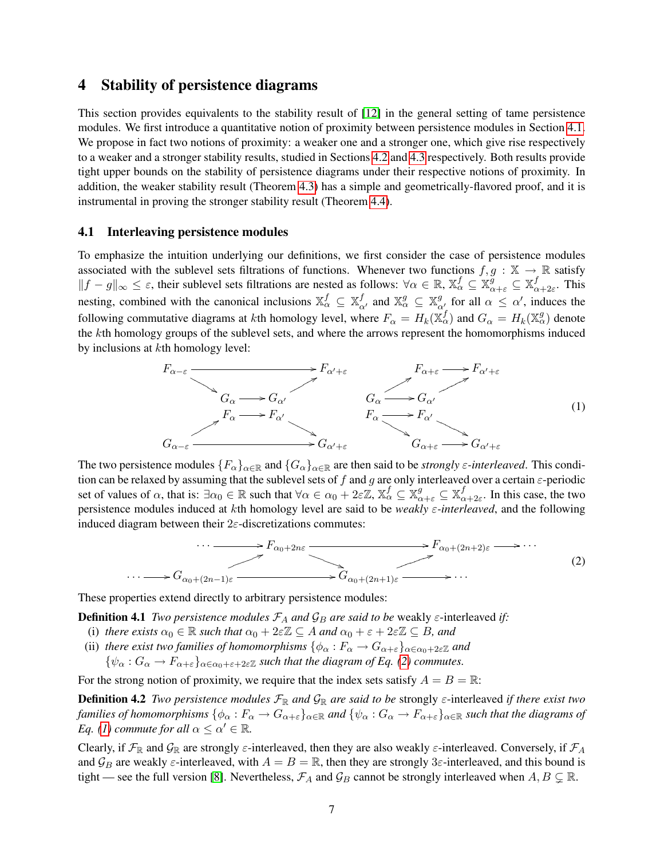### <span id="page-7-1"></span>4 Stability of persistence diagrams

This section provides equivalents to the stability result of [\[12\]](#page-11-1) in the general setting of tame persistence modules. We first introduce a quantitative notion of proximity between persistence modules in Section [4.1.](#page-7-0) We propose in fact two notions of proximity: a weaker one and a stronger one, which give rise respectively to a weaker and a stronger stability results, studied in Sections [4.2](#page-8-0) and [4.3](#page-8-1) respectively. Both results provide tight upper bounds on the stability of persistence diagrams under their respective notions of proximity. In addition, the weaker stability result (Theorem [4.3\)](#page-8-2) has a simple and geometrically-flavored proof, and it is instrumental in proving the stronger stability result (Theorem [4.4\)](#page-8-3).

#### <span id="page-7-0"></span>4.1 Interleaving persistence modules

To emphasize the intuition underlying our definitions, we first consider the case of persistence modules associated with the sublevel sets filtrations of functions. Whenever two functions  $f, g : \mathbb{X} \to \mathbb{R}$  satisfy  $||f-g||_{\infty} \leq \varepsilon$ , their sublevel sets filtrations are nested as follows:  $\forall \alpha \in \mathbb{R}$ ,  $\mathbb{X}_{\alpha}^f \subseteq \mathbb{X}_{\alpha+\varepsilon}^g \subseteq \mathbb{X}_{\alpha}^f$  $\frac{J}{\alpha+2\varepsilon}$ . This nesting, combined with the canonical inclusions  $\mathbb{X}_{\alpha}^f \subseteq \mathbb{X}_{\alpha'}^f$  and  $\mathbb{X}_{\alpha}^g \subseteq \mathbb{X}_{\alpha'}^g$  for all  $\alpha \leq \alpha'$ , induces the following commutative diagrams at *k*th homology level, where  $F_\alpha = H_k(\mathbb{X}_\alpha^f)$  and  $G_\alpha = H_k(\mathbb{X}_\alpha^g)$  denote the kth homology groups of the sublevel sets, and where the arrows represent the homomorphisms induced by inclusions at kth homology level:

<span id="page-7-3"></span>

The two persistence modules  ${F_\alpha}_{\alpha\in\mathbb{R}}$  and  ${G_\alpha}_{\alpha\in\mathbb{R}}$  are then said to be *strongly*  $\varepsilon$ -interleaved. This condition can be relaxed by assuming that the sublevel sets of f and g are only interleaved over a certain  $\varepsilon$ -periodic set of values of  $\alpha$ , that is:  $\exists \alpha_0 \in \mathbb{R}$  such that  $\forall \alpha \in \alpha_0 + 2\varepsilon \mathbb{Z}$ ,  $\mathbb{X}_{\alpha}^f \subseteq \mathbb{X}_{\alpha+\varepsilon}^g \subseteq \mathbb{X}_{\alpha}^f$  $a_{\alpha+2\varepsilon}$ . In this case, the two persistence modules induced at kth homology level are said to be *weakly* ε*-interleaved*, and the following induced diagram between their  $2\varepsilon$ -discretizations commutes:

<span id="page-7-5"></span><span id="page-7-4"></span><span id="page-7-2"></span>
$$
\cdots \longrightarrow F_{\alpha_0+2n\varepsilon} \longrightarrow F_{\alpha_0+(2n+2)\varepsilon} \longrightarrow \cdots
$$
\n
$$
\longrightarrow G_{\alpha_0+(2n-1)\varepsilon} \longrightarrow G_{\alpha_0+(2n+1)\varepsilon} \longrightarrow \cdots
$$
\n
$$
(2)
$$

These properties extend directly to arbitrary persistence modules:

**Definition 4.1** *Two persistence modules*  $\mathcal{F}_A$  *and*  $\mathcal{G}_B$  *are said to be* weakly  $\varepsilon$ -interleaved *if*:

- (i) *there exists*  $\alpha_0 \in \mathbb{R}$  *such that*  $\alpha_0 + 2\varepsilon \mathbb{Z} \subseteq A$  *and*  $\alpha_0 + \varepsilon + 2\varepsilon \mathbb{Z} \subseteq B$ *, and*
- (ii) *there exist two families of homomorphisms*  $\{\phi_{\alpha}: F_{\alpha} \to G_{\alpha+\varepsilon}\}_{\alpha \in \alpha_0+2\varepsilon \mathbb{Z}}$  *and*

 ${\psi_{\alpha}: G_{\alpha} \to F_{\alpha+\varepsilon}}_{\alpha \in \alpha_0+\varepsilon+2\varepsilon \mathbb{Z}}$  *such that the diagram of Eq. [\(2\)](#page-7-2) commutes.* 

For the strong notion of proximity, we require that the index sets satisfy  $A = B = \mathbb{R}$ :

Definition 4.2 *Two persistence modules* FR *and* GR *are said to be* strongly ε-interleaved *if there exist two families of homomorphisms*  $\{\phi_\alpha: F_\alpha \to G_{\alpha+\varepsilon}\}_{\alpha \in \mathbb{R}}$  and  $\{\psi_\alpha: G_\alpha \to F_{\alpha+\varepsilon}\}_{\alpha \in \mathbb{R}}$  such that the diagrams of *Eq.* [\(1\)](#page-7-3) commute for all  $\alpha \leq \alpha' \in \mathbb{R}$ .

Clearly, if  $\mathcal{F}_{\mathbb{R}}$  and  $\mathcal{G}_{\mathbb{R}}$  are strongly  $\varepsilon$ -interleaved, then they are also weakly  $\varepsilon$ -interleaved. Conversely, if  $\mathcal{F}_A$ and  $\mathcal{G}_B$  are weakly  $\varepsilon$ -interleaved, with  $A = B = \mathbb{R}$ , then they are strongly 3 $\varepsilon$ -interleaved, and this bound is tight — see the full version [\[8\]](#page-11-11). Nevertheless,  $\mathcal{F}_A$  and  $\mathcal{G}_B$  cannot be strongly interleaved when  $A, B \subsetneq \mathbb{R}$ .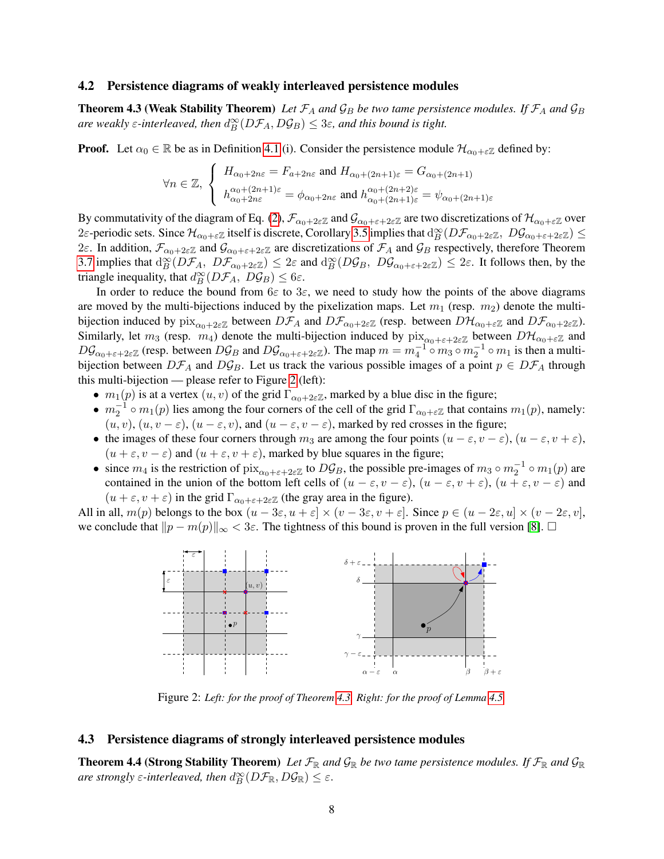#### <span id="page-8-0"></span>4.2 Persistence diagrams of weakly interleaved persistence modules

<span id="page-8-2"></span>**Theorem 4.3 (Weak Stability Theorem)** Let  $\mathcal{F}_A$  and  $\mathcal{G}_B$  be two tame persistence modules. If  $\mathcal{F}_A$  and  $\mathcal{G}_B$ are weakly  $\varepsilon$ -interleaved, then  $d_B^{\infty}(D\mathcal{F}_A, D\mathcal{G}_B) \leq 3\varepsilon$ , and this bound is tight.

**Proof.** Let  $\alpha_0 \in \mathbb{R}$  be as in Definition [4.1](#page-7-4) (i). Consider the persistence module  $\mathcal{H}_{\alpha_0+\varepsilon\mathbb{Z}}$  defined by:

$$
\forall n \in \mathbb{Z}, \begin{cases} H_{\alpha_0+2n\varepsilon} = F_{a+2n\varepsilon} \text{ and } H_{\alpha_0+(2n+1)\varepsilon} = G_{\alpha_0+(2n+1)} \\ h_{\alpha_0+2n\varepsilon}^{\alpha_0+(2n+1)\varepsilon} = \phi_{\alpha_0+2n\varepsilon} \text{ and } h_{\alpha_0+(2n+1)\varepsilon}^{\alpha_0+(2n+2)\varepsilon} = \psi_{\alpha_0+(2n+1)\varepsilon} \end{cases}
$$

By commutativity of the diagram of Eq. [\(2\)](#page-7-2),  $\mathcal{F}_{\alpha_0+2\varepsilon\mathbb{Z}}$  and  $\mathcal{G}_{\alpha_0+\varepsilon+2\varepsilon\mathbb{Z}}$  are two discretizations of  $\mathcal{H}_{\alpha_0+\varepsilon\mathbb{Z}}$  over 2 $\varepsilon$ -periodic sets. Since  $\mathcal{H}_{\alpha_0+\varepsilon\mathbb{Z}}$  itself is discrete, Corollary [3.5](#page-5-3) implies that  $\mathrm{d}_{B}^{\infty}(D\mathcal{F}_{\alpha_0+2\varepsilon\mathbb{Z}},\ D\mathcal{G}_{\alpha_0+\varepsilon+2\varepsilon\mathbb{Z}}) \leq$ 2ε. In addition,  $\mathcal{F}_{\alpha_0+2\varepsilon\mathbb{Z}}$  and  $\mathcal{G}_{\alpha_0+\varepsilon+2\varepsilon\mathbb{Z}}$  are discretizations of  $\mathcal{F}_A$  and  $\mathcal{G}_B$  respectively, therefore Theorem [3.7](#page-6-1) implies that  $d_B^{\infty}(D\mathcal{F}_A, D\mathcal{F}_{\alpha_0+2\varepsilon\mathbb{Z}}) \leq 2\varepsilon$  and  $d_B^{\infty}(D\mathcal{G}_B, D\mathcal{G}_{\alpha_0+\varepsilon+2\varepsilon\mathbb{Z}}) \leq 2\varepsilon$ . It follows then, by the triangle inequality, that  $d_B^{\infty}(D\mathcal{F}_A, D\mathcal{G}_B) \leq 6\varepsilon$ .

In order to reduce the bound from  $6\varepsilon$  to  $3\varepsilon$ , we need to study how the points of the above diagrams are moved by the multi-bijections induced by the pixelization maps. Let  $m_1$  (resp.  $m_2$ ) denote the multibijection induced by  $\lim_{\alpha_0+2\epsilon\mathbb{Z}}$  between  $D\mathcal{F}_A$  and  $D\mathcal{F}_{\alpha_0+2\epsilon\mathbb{Z}}$  (resp. between  $D\mathcal{H}_{\alpha_0+\epsilon\mathbb{Z}}$  and  $D\mathcal{F}_{\alpha_0+2\epsilon\mathbb{Z}}$ ). Similarly, let  $m_3$  (resp.  $m_4$ ) denote the multi-bijection induced by  $\lim_{\alpha_0 + \varepsilon + 2\varepsilon}$  between  $D\mathcal{H}_{\alpha_0 + \varepsilon}$  and  $D\mathcal{G}_{\alpha_0+\varepsilon+2\varepsilon\mathbb{Z}}$  (resp. between  $D\mathcal{G}_B$  and  $D\mathcal{G}_{\alpha_0+\varepsilon+2\varepsilon\mathbb{Z}}$ ). The map  $m=m_4^{-1}\circ m_3\circ m_2^{-1}\circ m_1$  is then a multibijection between  $D\mathcal{F}_A$  and  $D\mathcal{G}_B$ . Let us track the various possible images of a point  $p \in D\mathcal{F}_A$  through this multi-bijection — please refer to Figure [2](#page-8-4) (left):

- $m_1(p)$  is at a vertex  $(u, v)$  of the grid  $\Gamma_{\alpha_0+2\varepsilon\mathbb{Z}}$ , marked by a blue disc in the figure;
- $m_2^{-1} \circ m_1(p)$  lies among the four corners of the cell of the grid  $\Gamma_{\alpha_0 + \epsilon \mathbb{Z}}$  that contains  $m_1(p)$ , namely:  $(u, v), (u, v - \varepsilon), (u - \varepsilon, v),$  and  $(u - \varepsilon, v - \varepsilon)$ , marked by red crosses in the figure;
- the images of these four corners through  $m_3$  are among the four points  $(u \varepsilon, v \varepsilon), (u \varepsilon, v + \varepsilon)$ ,  $(u + \varepsilon, v - \varepsilon)$  and  $(u + \varepsilon, v + \varepsilon)$ , marked by blue squares in the figure;
- since  $m_4$  is the restriction of  $\lim_{\alpha_0 + \varepsilon + 2\varepsilon \mathbb{Z}}$  to  $D\mathcal{G}_B$ , the possible pre-images of  $m_3 \circ m_2^{-1} \circ m_1(p)$  are contained in the union of the bottom left cells of  $(u - \varepsilon, v - \varepsilon)$ ,  $(u - \varepsilon, v + \varepsilon)$ ,  $(u + \varepsilon, v - \varepsilon)$  and  $(u + \varepsilon, v + \varepsilon)$  in the grid  $\Gamma_{\alpha_0 + \varepsilon + 2\varepsilon \mathbb{Z}}$  (the gray area in the figure).

All in all,  $m(p)$  belongs to the box  $(u - 3\varepsilon, u + \varepsilon] \times (v - 3\varepsilon, v + \varepsilon]$ . Since  $p \in (u - 2\varepsilon, u] \times (v - 2\varepsilon, v]$ , we conclude that  $||p - m(p)||_{\infty} < 3\varepsilon$ . The tightness of this bound is proven in the full version [\[8\]](#page-11-11).  $\square$ 



<span id="page-8-4"></span>Figure 2: *Left: for the proof of Theorem [4.3.](#page-8-2) Right: for the proof of Lemma [4.5.](#page-9-0)*

#### <span id="page-8-1"></span>4.3 Persistence diagrams of strongly interleaved persistence modules

<span id="page-8-3"></span>**Theorem 4.4 (Strong Stability Theorem)** Let  $\mathcal{F}_{\mathbb{R}}$  and  $\mathcal{G}_{\mathbb{R}}$  be two tame persistence modules. If  $\mathcal{F}_{\mathbb{R}}$  and  $\mathcal{G}_{\mathbb{R}}$ *are strongly*  $\varepsilon$ -interleaved, then  $d_B^{\infty}(D\mathcal{F}_{\mathbb{R}}, D\mathcal{G}_{\mathbb{R}}) \leq \varepsilon$ .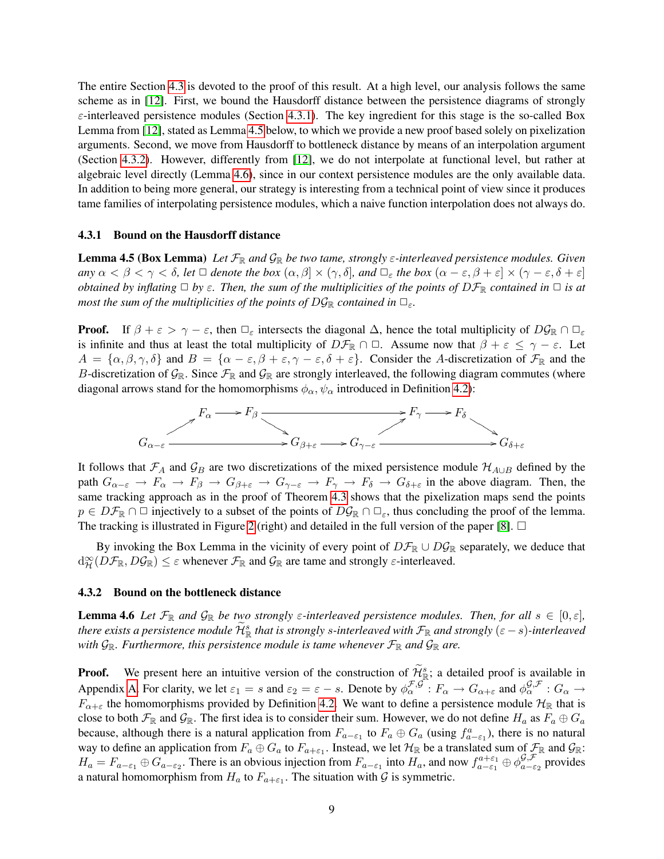The entire Section [4.3](#page-8-1) is devoted to the proof of this result. At a high level, our analysis follows the same scheme as in [\[12\]](#page-11-1). First, we bound the Hausdorff distance between the persistence diagrams of strongly  $\varepsilon$ -interleaved persistence modules (Section [4.3.1\)](#page-9-1). The key ingredient for this stage is the so-called Box Lemma from [\[12\]](#page-11-1), stated as Lemma [4.5](#page-9-0) below, to which we provide a new proof based solely on pixelization arguments. Second, we move from Hausdorff to bottleneck distance by means of an interpolation argument (Section [4.3.2\)](#page-9-2). However, differently from [\[12\]](#page-11-1), we do not interpolate at functional level, but rather at algebraic level directly (Lemma [4.6\)](#page-9-3), since in our context persistence modules are the only available data. In addition to being more general, our strategy is interesting from a technical point of view since it produces tame families of interpolating persistence modules, which a naive function interpolation does not always do.

#### <span id="page-9-1"></span>4.3.1 Bound on the Hausdorff distance

<span id="page-9-0"></span>Lemma 4.5 (Box Lemma) *Let* FR *and* GR *be two tame, strongly* ε*-interleaved persistence modules. Given*  $\varphi$  *any*  $\alpha < \beta < \gamma < \delta$ , let  $\Box$  denote the box  $(\alpha, \beta] \times (\gamma, \delta]$ , and  $\Box_{\varepsilon}$  the box  $(\alpha - \varepsilon, \beta + \varepsilon] \times (\gamma - \varepsilon, \delta + \varepsilon]$ *obtained by inflating*  $\Box$  *by*  $\varepsilon$ *. Then, the sum of the multiplicities of the points of*  $D\mathcal{F}_{\mathbb{R}}$  *contained in*  $\Box$  *is at most the sum of the multiplicities of the points of*  $D\mathcal{G}_\mathbb{R}$  *contained in*  $\Box_\varepsilon$ *.* 

**Proof.** If  $\beta + \varepsilon > \gamma - \varepsilon$ , then  $\Box_{\varepsilon}$  intersects the diagonal  $\Delta$ , hence the total multiplicity of  $D\mathcal{G}_{\mathbb{R}} \cap \Box_{\varepsilon}$ is infinite and thus at least the total multiplicity of  $D\mathcal{F}_{\mathbb{R}} \cap \square$ . Assume now that  $\beta + \varepsilon \leq \gamma - \varepsilon$ . Let  $A = {\alpha, \beta, \gamma, \delta}$  and  $B = {\alpha - \varepsilon, \beta + \varepsilon, \gamma - \varepsilon, \delta + \varepsilon}.$  Consider the A-discretization of  $\mathcal{F}_{\mathbb{R}}$  and the B-discretization of  $\mathcal{G}_{\mathbb{R}}$ . Since  $\mathcal{F}_{\mathbb{R}}$  and  $\mathcal{G}_{\mathbb{R}}$  are strongly interleaved, the following diagram commutes (where diagonal arrows stand for the homomorphisms  $\phi_{\alpha}$ ,  $\psi_{\alpha}$  introduced in Definition [4.2\)](#page-7-5):



It follows that  $\mathcal{F}_A$  and  $\mathcal{G}_B$  are two discretizations of the mixed persistence module  $\mathcal{H}_{A\cup B}$  defined by the path  $G_{\alpha-\varepsilon} \to F_{\alpha} \to F_{\beta} \to G_{\beta+\varepsilon} \to G_{\gamma-\varepsilon} \to F_{\gamma} \to F_{\delta} \to G_{\delta+\varepsilon}$  in the above diagram. Then, the same tracking approach as in the proof of Theorem [4.3](#page-8-2) shows that the pixelization maps send the points  $p \in D\mathcal{F}_{\mathbb{R}} \cap \Box$  injectively to a subset of the points of  $D\mathcal{G}_{\mathbb{R}} \cap \Box_{\varepsilon}$ , thus concluding the proof of the lemma. The tracking is illustrated in Figure [2](#page-8-4) (right) and detailed in the full version of the paper [\[8\]](#page-11-11).  $\Box$ 

By invoking the Box Lemma in the vicinity of every point of  $D\mathcal{F}_{\mathbb{R}} \cup D\mathcal{G}_{\mathbb{R}}$  separately, we deduce that  $d_{\mathcal{H}}^{\infty}(D\mathcal{F}_{\mathbb{R}},D\mathcal{G}_{\mathbb{R}}) \leq \varepsilon$  whenever  $\mathcal{F}_{\mathbb{R}}$  and  $\mathcal{G}_{\mathbb{R}}$  are tame and strongly  $\varepsilon$ -interleaved.

#### <span id="page-9-2"></span>4.3.2 Bound on the bottleneck distance

<span id="page-9-3"></span>**Lemma 4.6** Let  $\mathcal{F}_{\mathbb{R}}$  and  $\mathcal{G}_{\mathbb{R}}$  be two strongly  $\varepsilon$ -interleaved persistence modules. Then, for all  $s \in [0,\varepsilon]$ , *there exists a persistence module*  $\widetilde{\mathcal{H}}_{\mathbb{R}}^s$  that is strongly s-interleaved with  $\mathcal{F}_{\mathbb{R}}$  and strongly  $(\varepsilon - s)$ -interleaved *with*  $\mathcal{G}_{\mathbb{R}}$ *. Furthermore, this persistence module is tame whenever*  $\mathcal{F}_{\mathbb{R}}$  *and*  $\mathcal{G}_{\mathbb{R}}$  *are.* 

**Proof.** We present here an intuitive version of the construction of  $\widetilde{\mathcal{H}}_{\mathcal{B}}^s$ ; a detailed proof is available in Appendix [A.](#page-12-5) For clarity, we let  $\varepsilon_1 = s$  and  $\varepsilon_2 = \varepsilon - s$ . Denote by  $\phi_{\alpha}^{\mathcal{F},\mathcal{G}} : F_{\alpha} \to G_{\alpha+\varepsilon}$  and  $\phi_{\alpha}^{\mathcal{G},\mathcal{F}} : G_{\alpha} \to$  $F_{\alpha+\varepsilon}$  the homomorphisms provided by Definition [4.2.](#page-7-5) We want to define a persistence module  $\mathcal{H}_{\mathbb{R}}$  that is close to both  $\mathcal{F}_\mathbb{R}$  and  $\mathcal{G}_\mathbb{R}$ . The first idea is to consider their sum. However, we do not define  $H_a$  as  $F_a \oplus G_a$ because, although there is a natural application from  $F_{a-\epsilon_1}$  to  $F_a \oplus G_a$  (using  $f_{a-\epsilon_1}^a$ ), there is no natural way to define an application from  $F_a \oplus G_a$  to  $F_{a+\epsilon_1}$ . Instead, we let  $\mathcal{H}_\mathbb{R}$  be a translated sum of  $\mathcal{F}_\mathbb{R}$  and  $\mathcal{G}_\mathbb{R}$ .  $H_a = F_{a-\epsilon_1} \oplus G_{a-\epsilon_2}$ . There is an obvious injection from  $F_{a-\epsilon_1}$  into  $H_a$ , and now  $f_{a-\epsilon_1}^{a+\epsilon_1} \oplus \phi_{a-\epsilon_2}^{G,\mathcal{F}}$  $a-\varepsilon_2$  provides a natural homomorphism from  $H_a$  to  $F_{a+\varepsilon_1}$ . The situation with  $\mathcal G$  is symmetric.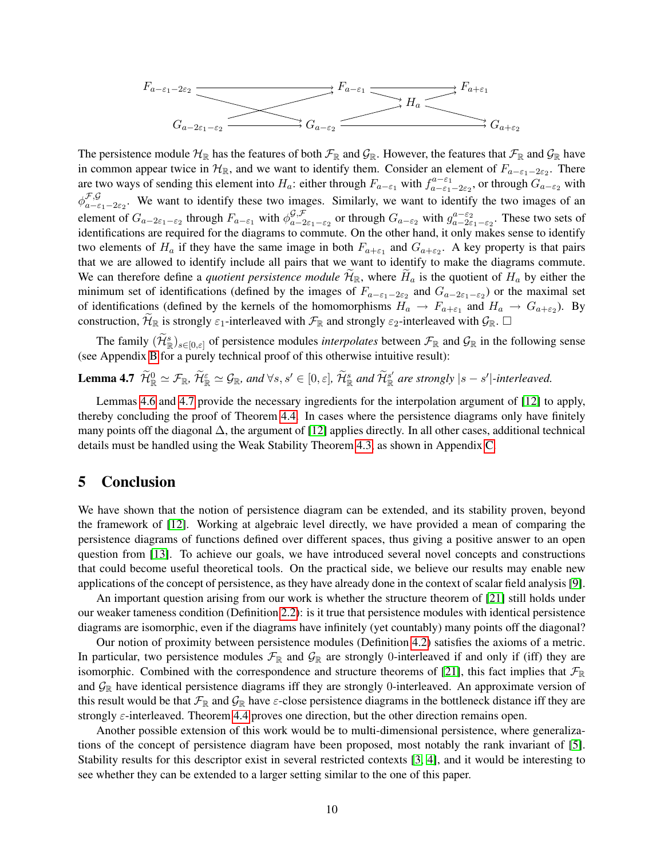$$
F_{a-\varepsilon_1-2\varepsilon_2} \xrightarrow{\qquad} F_{a-\varepsilon_1} \xrightarrow{\qquad} F_{a+\varepsilon_1} \xrightarrow{\qquad} F_{a+\varepsilon_1} \xrightarrow{\qquad} G_{a-2\varepsilon_1-\varepsilon_2} \xrightarrow{\qquad} G_{a+\varepsilon_2} \xrightarrow{\qquad} G_{a+\varepsilon_2}
$$

The persistence module  $H_{\R}$  has the features of both  $\mathcal{F}_{\R}$  and  $\mathcal{G}_{\R}$ . However, the features that  $\mathcal{F}_{\R}$  and  $\mathcal{G}_{\R}$  have in common appear twice in  $\mathcal{H}_{\mathbb{R}}$ , and we want to identify them. Consider an element of  $F_{a-\epsilon_1-2\epsilon_2}$ . There are two ways of sending this element into  $H_a$ : either through  $F_{a-\epsilon_1}$  with  $f_{a-\epsilon_1-2\epsilon_2}^{a-\epsilon_1}$ , or through  $G_{a-\epsilon_2}$  with  $\phi_{a-\varepsilon}^{\mathcal{F},\mathcal{G}}$  $\zeta_{a-\epsilon_1-2\epsilon_2}$ . We want to identify these two images. Similarly, we want to identify the two images of an element of  $G_{a-2\varepsilon_1-\varepsilon_2}$  through  $F_{a-\varepsilon_1}$  with  $\phi_{a-2\varepsilon_1}^{\mathcal{G},\mathcal{F}}$  $g_{,a}^{\mathcal{G},\mathcal{F}}$  or through  $G_{a-\varepsilon_2}$  with  $g_{a-2\varepsilon_1-\varepsilon_2}^{a-\varepsilon_2}$ . These two sets of identifications are required for the diagrams to commute. On the other hand, it only makes sense to identify two elements of  $H_a$  if they have the same image in both  $F_{a+\epsilon_1}$  and  $G_{a+\epsilon_2}$ . A key property is that pairs that we are allowed to identify include all pairs that we want to identify to make the diagrams commute. We can therefore define a *quotient persistence module*  $\mathcal{H}_{\mathbb{R}}$ , where  $H_a$  is the quotient of  $H_a$  by either the minimum set of identifications (defined by the images of  $F_{a-\epsilon_1-2\epsilon_2}$  and  $G_{a-2\epsilon_1-\epsilon_2}$ ) or the maximal set of identifications (defined by the kernels of the homomorphisms  $H_a \to F_{a+\epsilon_1}$  and  $H_a \to G_{a+\epsilon_2}$ ). By construction,  $\mathcal{H}_{\mathbb{R}}$  is strongly  $\varepsilon_1$ -interleaved with  $\mathcal{F}_{\mathbb{R}}$  and strongly  $\varepsilon_2$ -interleaved with  $\mathcal{G}_{\mathbb{R}}$ .  $\Box$ 

<span id="page-10-0"></span>The family  $(\widetilde{\mathcal{H}}_{\mathbb{R}}^s)_{s \in [0,\varepsilon]}$  of persistence modules *interpolates* between  $\mathcal{F}_{\mathbb{R}}$  and  $\mathcal{G}_{\mathbb{R}}$  in the following sense (see Appendix [B](#page-13-0) for a purely technical proof of this otherwise intuitive result):

**Lemma 4.7**  $\widetilde{\mathcal{H}}_{\mathbb{R}}^6 \simeq \mathcal{F}_{\mathbb{R}}$ ,  $\widetilde{\mathcal{H}}_{\mathbb{R}}^{\varepsilon} \simeq \mathcal{G}_{\mathbb{R}}$ , and  $\forall s, s' \in [0, \varepsilon]$ ,  $\widetilde{\mathcal{H}}_{\mathbb{R}}^s$  and  $\widetilde{\mathcal{H}}_{\mathbb{R}}^{s'}$  are strongly  $|s - s'|$ -interleaved.

Lemmas [4.6](#page-9-3) and [4.7](#page-10-0) provide the necessary ingredients for the interpolation argument of [\[12\]](#page-11-1) to apply, thereby concluding the proof of Theorem [4.4.](#page-8-3) In cases where the persistence diagrams only have finitely many points off the diagonal  $\Delta$ , the argument of [\[12\]](#page-11-1) applies directly. In all other cases, additional technical details must be handled using the Weak Stability Theorem [4.3,](#page-8-2) as shown in Appendix [C.](#page-14-0)

### 5 Conclusion

We have shown that the notion of persistence diagram can be extended, and its stability proven, beyond the framework of [\[12\]](#page-11-1). Working at algebraic level directly, we have provided a mean of comparing the persistence diagrams of functions defined over different spaces, thus giving a positive answer to an open question from [\[13\]](#page-11-12). To achieve our goals, we have introduced several novel concepts and constructions that could become useful theoretical tools. On the practical side, we believe our results may enable new applications of the concept of persistence, as they have already done in the context of scalar field analysis [\[9\]](#page-11-9).

An important question arising from our work is whether the structure theorem of [\[21\]](#page-12-3) still holds under our weaker tameness condition (Definition [2.2\)](#page-3-1): is it true that persistence modules with identical persistence diagrams are isomorphic, even if the diagrams have infinitely (yet countably) many points off the diagonal?

Our notion of proximity between persistence modules (Definition [4.2\)](#page-7-5) satisfies the axioms of a metric. In particular, two persistence modules  $\mathcal{F}_{\mathbb{R}}$  and  $\mathcal{G}_{\mathbb{R}}$  are strongly 0-interleaved if and only if (iff) they are isomorphic. Combined with the correspondence and structure theorems of [\[21\]](#page-12-3), this fact implies that  $\mathcal{F}_{\mathbb{R}}$ and  $\mathcal{G}_{\mathbb{R}}$  have identical persistence diagrams iff they are strongly 0-interleaved. An approximate version of this result would be that  $\mathcal{F}_\mathbb{R}$  and  $\mathcal{G}_\mathbb{R}$  have  $\varepsilon$ -close persistence diagrams in the bottleneck distance iff they are strongly ε-interleaved. Theorem [4.4](#page-8-3) proves one direction, but the other direction remains open.

Another possible extension of this work would be to multi-dimensional persistence, where generalizations of the concept of persistence diagram have been proposed, most notably the rank invariant of [\[5\]](#page-11-13). Stability results for this descriptor exist in several restricted contexts [\[3,](#page-11-14) [4\]](#page-11-15), and it would be interesting to see whether they can be extended to a larger setting similar to the one of this paper.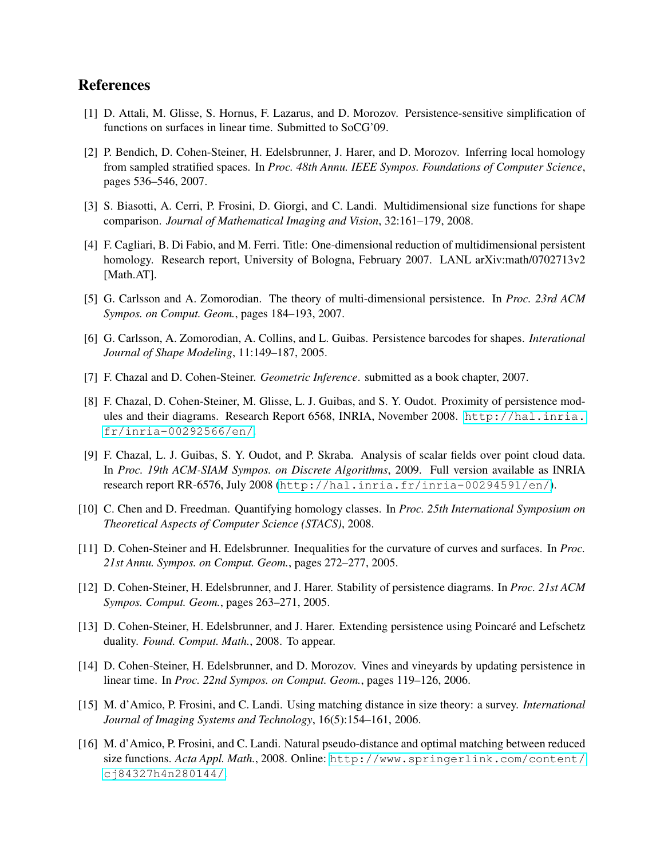# References

- <span id="page-11-2"></span>[1] D. Attali, M. Glisse, S. Hornus, F. Lazarus, and D. Morozov. Persistence-sensitive simplification of functions on surfaces in linear time. Submitted to SoCG'09.
- <span id="page-11-4"></span>[2] P. Bendich, D. Cohen-Steiner, H. Edelsbrunner, J. Harer, and D. Morozov. Inferring local homology from sampled stratified spaces. In *Proc. 48th Annu. IEEE Sympos. Foundations of Computer Science*, pages 536–546, 2007.
- <span id="page-11-14"></span>[3] S. Biasotti, A. Cerri, P. Frosini, D. Giorgi, and C. Landi. Multidimensional size functions for shape comparison. *Journal of Mathematical Imaging and Vision*, 32:161–179, 2008.
- <span id="page-11-15"></span>[4] F. Cagliari, B. Di Fabio, and M. Ferri. Title: One-dimensional reduction of multidimensional persistent homology. Research report, University of Bologna, February 2007. LANL arXiv:math/0702713v2 [Math.AT].
- <span id="page-11-13"></span>[5] G. Carlsson and A. Zomorodian. The theory of multi-dimensional persistence. In *Proc. 23rd ACM Sympos. on Comput. Geom.*, pages 184–193, 2007.
- <span id="page-11-0"></span>[6] G. Carlsson, A. Zomorodian, A. Collins, and L. Guibas. Persistence barcodes for shapes. *Interational Journal of Shape Modeling*, 11:149–187, 2005.
- <span id="page-11-3"></span>[7] F. Chazal and D. Cohen-Steiner. *Geometric Inference*. submitted as a book chapter, 2007.
- <span id="page-11-11"></span>[8] F. Chazal, D. Cohen-Steiner, M. Glisse, L. J. Guibas, and S. Y. Oudot. Proximity of persistence modules and their diagrams. Research Report 6568, INRIA, November 2008. [http://hal.inria.](http://hal.inria.fr/inria-00292566/en/) [fr/inria-00292566/en/](http://hal.inria.fr/inria-00292566/en/).
- <span id="page-11-9"></span>[9] F. Chazal, L. J. Guibas, S. Y. Oudot, and P. Skraba. Analysis of scalar fields over point cloud data. In *Proc. 19th ACM-SIAM Sympos. on Discrete Algorithms*, 2009. Full version available as INRIA research report RR-6576, July 2008 (<http://hal.inria.fr/inria-00294591/en/>).
- <span id="page-11-5"></span>[10] C. Chen and D. Freedman. Quantifying homology classes. In *Proc. 25th International Symposium on Theoretical Aspects of Computer Science (STACS)*, 2008.
- <span id="page-11-6"></span>[11] D. Cohen-Steiner and H. Edelsbrunner. Inequalities for the curvature of curves and surfaces. In *Proc. 21st Annu. Sympos. on Comput. Geom.*, pages 272–277, 2005.
- <span id="page-11-1"></span>[12] D. Cohen-Steiner, H. Edelsbrunner, and J. Harer. Stability of persistence diagrams. In *Proc. 21st ACM Sympos. Comput. Geom.*, pages 263–271, 2005.
- <span id="page-11-12"></span>[13] D. Cohen-Steiner, H. Edelsbrunner, and J. Harer. Extending persistence using Poincaré and Lefschetz duality. *Found. Comput. Math.*, 2008. To appear.
- <span id="page-11-7"></span>[14] D. Cohen-Steiner, H. Edelsbrunner, and D. Morozov. Vines and vineyards by updating persistence in linear time. In *Proc. 22nd Sympos. on Comput. Geom.*, pages 119–126, 2006.
- <span id="page-11-10"></span>[15] M. d'Amico, P. Frosini, and C. Landi. Using matching distance in size theory: a survey. *International Journal of Imaging Systems and Technology*, 16(5):154–161, 2006.
- <span id="page-11-8"></span>[16] M. d'Amico, P. Frosini, and C. Landi. Natural pseudo-distance and optimal matching between reduced size functions. *Acta Appl. Math.*, 2008. Online: [http://www.springerlink.com/content/](http://www.springerlink.com/content/cj84327h4n280144/) [cj84327h4n280144/](http://www.springerlink.com/content/cj84327h4n280144/).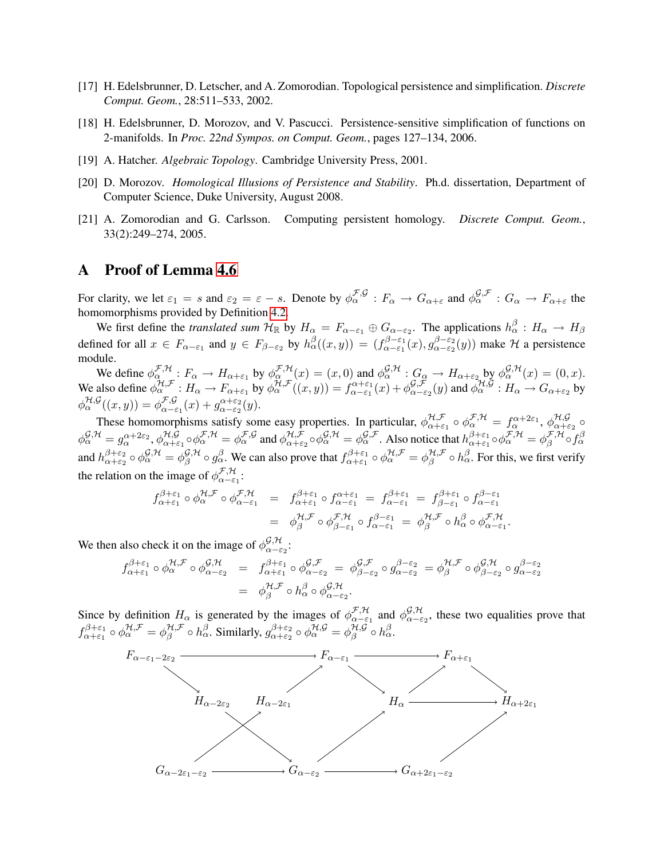- <span id="page-12-0"></span>[17] H. Edelsbrunner, D. Letscher, and A. Zomorodian. Topological persistence and simplification. *Discrete Comput. Geom.*, 28:511–533, 2002.
- <span id="page-12-1"></span>[18] H. Edelsbrunner, D. Morozov, and V. Pascucci. Persistence-sensitive simplification of functions on 2-manifolds. In *Proc. 22nd Sympos. on Comput. Geom.*, pages 127–134, 2006.
- <span id="page-12-4"></span>[19] A. Hatcher. *Algebraic Topology*. Cambridge University Press, 2001.
- <span id="page-12-2"></span>[20] D. Morozov. *Homological Illusions of Persistence and Stability*. Ph.d. dissertation, Department of Computer Science, Duke University, August 2008.
- <span id="page-12-3"></span>[21] A. Zomorodian and G. Carlsson. Computing persistent homology. *Discrete Comput. Geom.*, 33(2):249–274, 2005.

### <span id="page-12-5"></span>A Proof of Lemma [4.6](#page-9-3)

For clarity, we let  $\varepsilon_1 = s$  and  $\varepsilon_2 = \varepsilon - s$ . Denote by  $\phi^{\mathcal{F},\mathcal{G}}_{\alpha} : F_{\alpha} \to G_{\alpha+\varepsilon}$  and  $\phi^{\mathcal{G},\mathcal{F}}_{\alpha} : G_{\alpha} \to F_{\alpha+\varepsilon}$  the homomorphisms provided by Definition [4.2.](#page-7-5)

We first define the *translated sum*  $H_{\mathbb{R}}$  by  $H_{\alpha} = F_{\alpha-\varepsilon_1} \oplus G_{\alpha-\varepsilon_2}$ . The applications  $h_{\alpha}^{\beta}: H_{\alpha} \to H_{\beta}$ defined for all  $x \in F_{\alpha-\varepsilon_1}$  and  $y \in F_{\beta-\varepsilon_2}$  by  $h_\alpha(\alpha, y) = (f_{\alpha-\varepsilon_1}^{\beta-\varepsilon_1})$  $\alpha^{-\varepsilon_1}(x), g_{\alpha-\varepsilon_2}^{\beta-\varepsilon_2}$  $\int_{\alpha-\epsilon_2}^{\beta-\epsilon_2}(y)$  make H a persistence module.

We define  $\phi_{\alpha}^{\mathcal{F},\mathcal{H}}$ :  $F_{\alpha} \to H_{\alpha+\varepsilon_1}$  by  $\phi_{\alpha}^{\mathcal{F},\mathcal{H}}(x) = (x,0)$  and  $\phi_{\alpha}^{\mathcal{G},\mathcal{H}}$ :  $G_{\alpha} \to H_{\alpha+\varepsilon_2}$  by  $\phi_{\alpha}^{\mathcal{G},\mathcal{H}}(x) = (0,x)$ . We also define  $\phi_{\alpha}^{\mathcal{H},\mathcal{F}}: H_{\alpha} \to F_{\alpha+\varepsilon_1}$  by  $\phi_{\alpha}^{\mathcal{H},\mathcal{F}}((x,y)) = f_{\alpha-\varepsilon_1}^{\alpha+\varepsilon_1}(x) + \phi_{\alpha-\varepsilon_1}^{\mathcal{G},\mathcal{F}}$  $g_{,\alpha-\varepsilon_2}^{\mathcal{G},\mathcal{F}}(y)$  and  $\overline{\phi_\alpha^{\mathcal{H},\mathcal{G}}}: H_\alpha \to G_{\alpha+\varepsilon_2}$  by  $\phi^{\mathcal{H},\mathcal{G}}_{\alpha}(x,y) = \phi^{\mathcal{F},\mathcal{G}}_{\alpha-\epsilon}$  $\mathcal{F}\mathcal{G}_{\alpha-\varepsilon_1}(x)+g_{\alpha-\varepsilon_2}^{\alpha+\varepsilon_2}(y).$ 

These homomorphisms satisfy some easy properties. In particular,  $\phi_{\alpha+\varepsilon}^{\mathcal{H},\mathcal{F}}$  $\alpha^{\mathcal{H},\mathcal{F}}_{\alpha+\varepsilon_1}\circ \phi^{\mathcal{F},\mathcal{H}}_\alpha=f^{\alpha+2\varepsilon_1}_\alpha,\, \phi^{\mathcal{H},\mathcal{G}}_{\alpha+\varepsilon_1}$  $\frac{\pi, y}{\alpha + \varepsilon_2}$  ο  $\phi ^{\mathcal{G},\mathcal{H}}_{\alpha}=g_{\alpha}^{\alpha+2\varepsilon_{2}},\phi ^{\mathcal{H},\mathcal{G}}_{\alpha+\varepsilon}% =\alpha^{\alpha}+\varepsilon_{\alpha}^{\alpha}+\varepsilon_{\alpha}^{\beta}$  $\alpha$ <sub>+ε<sub>1</sub></sub>  $\circ \phi^{\mathcal{F},\mathcal{H}}_{\alpha} = \phi^{\mathcal{F},\mathcal{G}}_{\alpha}$  and  $\phi^{\mathcal{H},\mathcal{F}}_{\alpha+\varepsilon}$  $\alpha_{\alpha+\varepsilon_2}^{H,\mathcal{F}}\circ\phi^{\mathcal{G},\mathcal{H}}_{\alpha}=\phi^{\mathcal{G},\mathcal{F}}_{\alpha}.$  Also notice that  $h^{\beta+\varepsilon_1}_{\alpha+\varepsilon_1}$  $^{\beta+\varepsilon_1}_{\alpha+\varepsilon_1}\circ\phi^{\mathcal{F},\mathcal{H}}_\alpha=\phi^{\mathcal{F},\mathcal{H}}_\beta$  ${}_{\beta}^{\mathcal{F},\mathcal{H}}\!\circ\!f_{\alpha}^{\beta}$ and  $h_{\alpha+\varepsilon}^{\beta+\varepsilon_2}$  $^{\beta+\varepsilon_2}_{\alpha+\varepsilon_2}\circ\phi^{\mathcal{G},\mathcal{H}}_\alpha=\phi^{\mathcal{G},\mathcal{H}}_\beta$  ${}^{\mathcal{G},\mathcal{H}}_{\beta}\circ g^{\beta}_{\alpha}$ . We can also prove that  $f^{\beta+\varepsilon_1}_{\alpha+\varepsilon_1}$  $\alpha^{,\beta+\varepsilon_1}_{\alpha+\varepsilon_1}\circ\phi^{\mathcal{H},\mathcal{F}}_\alpha=\phi^{\mathcal{H},\mathcal{F}}_\beta$  $\frac{\mathcal{H}, \mathcal{F}}{\beta} \circ h_{\alpha}^{\beta}$ . For this, we first verify the relation on the image of  $\phi_{\alpha-\epsilon}^{\mathcal{F},\mathcal{H}}$  $\frac{\sigma}{\alpha-\varepsilon_1}$ :

$$
f_{\alpha+\varepsilon_1}^{\beta+\varepsilon_1} \circ \phi_{\alpha}^{\mathcal{H},\mathcal{F}} \circ \phi_{\alpha-\varepsilon_1}^{\mathcal{F},\mathcal{H}} = f_{\alpha+\varepsilon_1}^{\beta+\varepsilon_1} \circ f_{\alpha-\varepsilon_1}^{\alpha+\varepsilon_1} = f_{\alpha-\varepsilon_1}^{\beta+\varepsilon_1} = f_{\beta-\varepsilon_1}^{\beta+\varepsilon_1} \circ f_{\alpha-\varepsilon_1}^{\beta-\varepsilon_1}
$$

$$
= \phi_{\beta}^{\mathcal{H},\mathcal{F}} \circ \phi_{\beta-\varepsilon_1}^{\mathcal{F},\mathcal{H}} \circ f_{\alpha-\varepsilon_1}^{\beta-\varepsilon_1} = \phi_{\beta}^{\mathcal{H},\mathcal{F}} \circ h_{\alpha}^{\beta} \circ \phi_{\alpha-\varepsilon_1}^{\mathcal{F},\mathcal{H}}.
$$

We then also check it on the image of  $\phi_{\alpha-\epsilon}^{\mathcal{G},\mathcal{H}}$  $_{\alpha-\varepsilon_2}^{\omega,\pi}$  .

$$
f_{\alpha+\varepsilon_1}^{\beta+\varepsilon_1} \circ \phi_{\alpha}^{\mathcal{H},\mathcal{F}} \circ \phi_{\alpha-\varepsilon_2}^{\mathcal{G},\mathcal{H}} = f_{\alpha+\varepsilon_1}^{\beta+\varepsilon_1} \circ \phi_{\alpha-\varepsilon_2}^{\mathcal{G},\mathcal{F}} = \phi_{\beta-\varepsilon_2}^{\mathcal{G},\mathcal{F}} \circ g_{\alpha-\varepsilon_2}^{\beta-\varepsilon_2} = \phi_{\beta}^{\mathcal{H},\mathcal{F}} \circ \phi_{\beta-\varepsilon_2}^{\mathcal{G},\mathcal{H}} \circ g_{\alpha-\varepsilon_2}^{\beta-\varepsilon_2}
$$

$$
= \phi_{\beta}^{\mathcal{H},\mathcal{F}} \circ h_{\alpha}^{\beta} \circ \phi_{\alpha-\varepsilon_2}^{\mathcal{G},\mathcal{H}}.
$$

Since by definition  $H_{\alpha}$  is generated by the images of  $\phi_{\alpha-\varepsilon}^{\mathcal{F},\mathcal{H}}$  ${}_{\alpha-\varepsilon_1}^{\mathcal{F},\mathcal{H}}$  and  $\phi_{\alpha-\varepsilon_1}^{\mathcal{G},\mathcal{H}}$  $\alpha-\epsilon_2$ , these two equalities prove that  $f^{\beta+\varepsilon_1}_{\alpha+\varepsilon_1}$  $\alpha^{,\beta+\varepsilon_1}_{\alpha+\varepsilon_1}\circ\phi^{\mathcal{H},\mathcal{F}}_\alpha=\phi^{\mathcal{H},\mathcal{F}}_\beta$  $\frac{\mathcal{H}, \mathcal{F}}{\beta} \circ h_{\alpha}^{\beta}$ . Similarly,  $g_{\alpha+\varepsilon_2}^{\beta+\varepsilon_2}$  $^{\beta+\varepsilon_2}_{\alpha+\varepsilon_2}\circ\phi^{\mathcal{H},\mathcal{G}}_\alpha=\phi^{\mathcal{H},\mathcal{G}}_\beta$  ${}_{\beta}^{\mathcal{H},\mathcal{G}}\circ h_{\alpha}^{\beta}.$ 

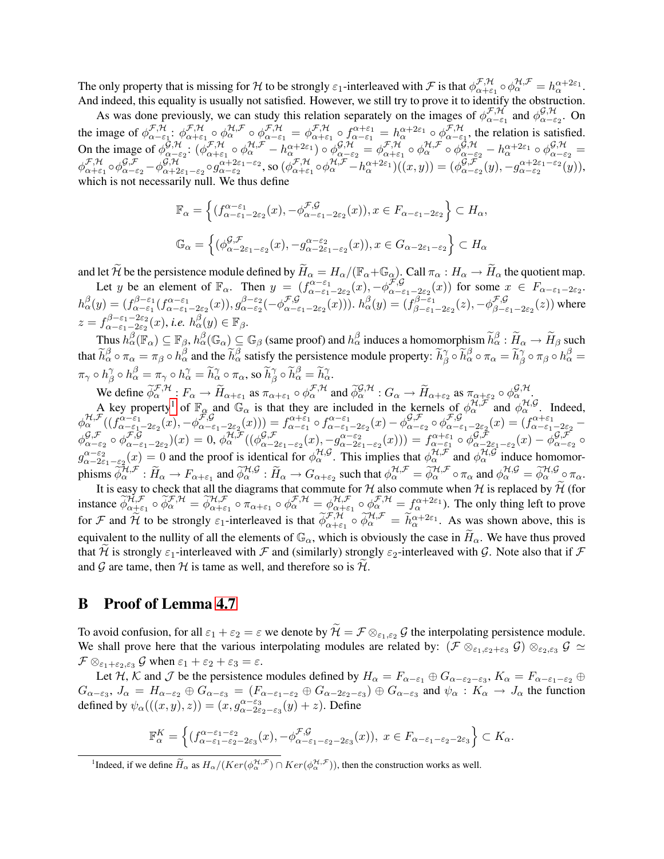The only property that is missing for H to be strongly  $\varepsilon_1$ -interleaved with F is that  $\phi_{\alpha+\varepsilon}^{\mathcal{F},\mathcal{H}}$  $\mathcal{F}, \mathcal{H}}{\alpha + \varepsilon_1} \circ \phi_\alpha^{\mathcal{H}, \mathcal{F}} = h_\alpha^{\alpha + 2\varepsilon_1}.$ And indeed, this equality is usually not satisfied. However, we still try to prove it to identify the obstruction.

As was done previously, we can study this relation separately on the images of  $\phi_{\alpha-\epsilon}^{\mathcal{F},\mathcal{H}}$  $_{\alpha-\varepsilon_{1}}^{\mathcal{F},\mathcal{H}}$  and  $\phi_{\alpha-\varepsilon_{1}}^{\mathcal{G},\mathcal{H}}$  $\frac{\varphi,\pi}{\alpha-\varepsilon_2}$ . On the image of  $\phi_{\alpha-\epsilon}^{\mathcal{F},\mathcal{H}}$  $^{\mathcal{F},\mathcal{H}}_{\alpha-\varepsilon_1}: \phi^{\mathcal{F},\mathcal{H}}_{\alpha+\varepsilon}$  ${}^{\mathcal{F},\mathcal{H}}_{\alpha+\varepsilon_1}\circ \phi^{\mathcal{H},\mathcal{F}}_{\alpha}\circ \phi^{\mathcal{F},\mathcal{H}}_{\alpha-\varepsilon_1}=\phi^{\mathcal{F},\mathcal{H}}_{\alpha+\varepsilon_1}$  $\epsilon_{\alpha+\varepsilon_1}^{\mathcal{F},\mathcal{H}}\circ f^{\alpha+\varepsilon_1}_{\alpha-\varepsilon_1}=h^{\alpha+2\varepsilon_1}_{\alpha}\circ \phi^{\mathcal{F},\mathcal{H}}_{\alpha-\varepsilon_1}$  $\alpha-\epsilon_1$ , the relation is satisfied. On the image of  $\phi_{\alpha-\epsilon}^{\tilde{G},\mathcal{H}}$  ${\bar g}_{\alpha=\varepsilon_2}^{\,\,\,\gamma}: (\phi^{\mathcal{F},\mathcal{H}}_{\alpha+\varepsilon_1})$  $\mathcal{F}^{\mathcal{H}}_{\alpha+\varepsilon_1}\circ \phi^{\mathcal{H},\mathcal{F}}_{\alpha} - h^{\alpha+2\varepsilon_1}_{\alpha}\big)\circ \phi^{\mathcal{G},\mathcal{H}}_{\alpha-\varepsilon_2} = \phi^{\mathcal{F},\mathcal{H}}_{\alpha+\varepsilon_1}$  $\mathcal{F}^{\mathcal{H}}_{\alpha+\varepsilon_1}\circ\phi^{\mathcal{H},\mathcal{F}}_{\alpha}\circ\phi^{\mathcal{G},\mathcal{H}}_{\alpha-\varepsilon_2}-h^{\alpha+2\varepsilon_1}_{\alpha}\circ\phi^{\mathcal{G},\mathcal{H}}_{\alpha-\varepsilon_2}=$  $\phi_{\alpha+\varepsilon}^{\mathcal{F},\mathcal{H}}$  ${}_{\alpha+\varepsilon_1}\circ \phi$ *g* $, ${}_{\alpha-\varepsilon_2}\circ\phi^{\mathcal{G},\mathcal{H}}_{\alpha+2}$$  ${}^{<\mathcal{G},\mathcal{H}}_{\alpha+2\varepsilon_1-\varepsilon_2}\circ g^{\alpha+2\varepsilon_1-\varepsilon_2}_{\alpha-\varepsilon_2}$ , so  $(\phi^{\mathcal{F},\mathcal{H}}_{\alpha+\varepsilon}$  $\mathcal{F}^{\mathcal{F},\mathcal{H}}_{\alpha+\varepsilon_1} \circ \phi^{\mathcal{H},\mathcal{F}}_{\alpha} - h^{\alpha+2\varepsilon_1}_{\alpha} \big)((x,y)) = (\phi^{\mathcal{G},\mathcal{F}}_{\alpha-\varepsilon_1})$  $g_{\alpha-\varepsilon_2}^{\mathcal{G},\mathcal{F}}(y),-g_{\alpha-\varepsilon_2}^{\alpha+2\varepsilon_1-\varepsilon_2}(y)),$ which is not necessarily null. We thus define

$$
\mathbb{F}_{\alpha} = \left\{ (f_{\alpha-\varepsilon_1-2\varepsilon_2}^{\alpha-\varepsilon_1}(x), -\phi_{\alpha-\varepsilon_1-2\varepsilon_2}^{\mathcal{F},\mathcal{G}}(x)), x \in F_{\alpha-\varepsilon_1-2\varepsilon_2} \right\} \subset H_{\alpha},
$$
  

$$
\mathbb{G}_{\alpha} = \left\{ (\phi_{\alpha-2\varepsilon_1-\varepsilon_2}^{\mathcal{G},\mathcal{F}}(x), -g_{\alpha-2\varepsilon_1-\varepsilon_2}^{\alpha-\varepsilon_2}(x)), x \in G_{\alpha-2\varepsilon_1-\varepsilon_2} \right\} \subset H_{\alpha}
$$

and let  $\widetilde{\mathcal{H}}$  be the persistence module defined by  $\widetilde{H}_{\alpha} = H_{\alpha}/(\mathbb{F}_{\alpha} + \mathbb{G}_{\alpha})$ . Call  $\pi_{\alpha} : H_{\alpha} \to \widetilde{H}_{\alpha}$  the quotient map. Let y be an element of  $\mathbb{F}_{\alpha}$ . Then  $y = (f_{\alpha-\varepsilon_1-2\varepsilon_2}^{\alpha-\varepsilon_1}(x), -\phi_{\alpha-\varepsilon_1}^{\mathcal{F},\mathcal{G}})$ 

 $\mathcal{L}_{\alpha-\varepsilon_1-2\varepsilon_2}(x)$  for some  $x \in F_{\alpha-\varepsilon_1-2\varepsilon_2}$ .  $h_{\alpha}^{\beta}(y) = (f_{\alpha-\varepsilon_1}^{\beta-\varepsilon_1})$  $\alpha^{-\varepsilon_1}_{\alpha-\varepsilon_1}(f^{\alpha-\varepsilon_1}_{\alpha-\varepsilon_1-2\varepsilon_2}(x)), g^{\beta-\varepsilon_2}_{\alpha-\varepsilon_2}$ β-ε<sub>2</sub>(-φ<sup>F,G</sup><br>α-ε<sub>2</sub>(-φ<sub>α-ε</sub>  $\mathcal{F}\mathcal{G}_{\alpha-\varepsilon_1-2\varepsilon_2}(x))$ ).  $h_{\alpha}^{\beta}(y) = (f_{\beta-\varepsilon_1}^{\beta-\varepsilon_1})$  $\phi^{\beta-\varepsilon_1}_{\beta-\varepsilon_1-2\varepsilon_2}(z),-\phi^{\mathcal{F},\mathcal{G}}_{\beta-\varepsilon_1}$  $\beta_{\beta-\varepsilon_1-2\varepsilon_2}(z)$ ) where  $z = f_{\alpha-\varepsilon_1-2\varepsilon_2}^{\beta-\varepsilon_1-2\varepsilon_2}$  $h_{\alpha-\varepsilon_1-2\varepsilon_2}^{\beta-\varepsilon_1-2\varepsilon_2}(x)$ , *i.e.*  $h_{\alpha}^{\beta}(y) \in \mathbb{F}_\beta$ .

Thus  $h_{\alpha}^{\beta}(\mathbb{F}_{\alpha}) \subseteq \mathbb{F}_{\beta}$ ,  $h_{\alpha}^{\beta}(\mathbb{G}_{\alpha}) \subseteq \mathbb{G}_{\beta}$  (same proof) and  $h_{\alpha}^{\beta}$  induces a homomorphism  $\widetilde{h}_{\alpha}^{\beta} : \widetilde{H}_{\alpha} \to \widetilde{H}_{\beta}$  such that  $\widetilde{h}_{\alpha}^{\beta} \circ \pi_{\alpha} = \pi_{\beta} \circ h_{\alpha}^{\beta}$  and the  $\widetilde{h}_{\alpha}^{\beta}$  satisfy the persistence module property:  $\widetilde{h}_{\beta}^{\gamma}$  $\underset{\beta}{\gamma} \circ \widetilde{h}_{\alpha}^{\beta} \circ \pi_{\alpha} = \widetilde{h}_{\beta}^{\gamma}$  $\begin{array}{c} \gamma \\ \beta \circ \pi_\beta \circ h_\alpha^\beta = 0 \end{array}$  $\pi_\gamma \circ h^\gamma_\beta \circ h^\beta_\alpha = \pi_\gamma \circ h^\gamma_\alpha = \widetilde{h}^\gamma_\alpha \circ \pi_\alpha$ , so  $\widetilde{h}^\gamma_\beta \circ \widetilde{h}^\beta_\alpha = \widetilde{h}^\gamma_\alpha$ .

We define  $\phi_{\alpha}^{\mathcal{F},\mathcal{H}}$ :  $F_{\alpha} \to \widetilde{H}_{\alpha+\varepsilon_1}$  as  $\pi_{\alpha+\varepsilon_1} \circ \phi_{\alpha}^{\mathcal{F},\mathcal{H}}$  and  $\widetilde{\phi}_{\alpha}^{\mathcal{G},\mathcal{H}}$ :  $G_{\alpha} \to \widetilde{H}_{\alpha+\varepsilon_2}$  as  $\pi_{\alpha+\varepsilon_2} \circ \phi_{\alpha}^{\mathcal{G},\mathcal{H}}$ .

A key property<sup>[1](#page-13-1)</sup> of  $\mathbb{F}_{\alpha}$  and  $\mathbb{G}_{\alpha}$  is that they are included in the kernels of  $\phi_{\alpha}^{\mathcal{H},\mathcal{F}}$  and  $\phi_{\alpha}^{\mathcal{H},\mathcal{G}}$ . Indeed,  $\phi^{\mathcal{H},\mathcal{F}}_{\alpha}((f^{\alpha-\varepsilon_1}_{\alpha-\varepsilon_1-2\varepsilon_2}(x),-\phi^{\mathcal{F},\mathcal{G}}_{\alpha-\varepsilon_1}$  $\left( \begin{smallmatrix} \mathcal{F},\mathcal{G} \ \alpha-\varepsilon_1-2\varepsilon_2(x) \end{smallmatrix} \right) = f^{\alpha+\varepsilon_1}_{\alpha-\varepsilon_1}\circ f^{\alpha-\varepsilon_1}_{\alpha-\varepsilon_1-2\varepsilon_2}(x) - \phi^{\mathcal{G},\mathcal{F}}_{\alpha-\varepsilon_1}$  ${}^{\mathcal{G},\mathcal{F}}_{\alpha-\varepsilon_2}\circ \phi^{\mathcal{F},\mathcal{G}}_{\alpha-\varepsilon_2}$  $\mathcal{F}\mathcal{G}_{\alpha-\varepsilon_1-2\varepsilon_2}(x)=(f^{\alpha+\varepsilon_1}_{\alpha-\varepsilon_1-2\varepsilon_2} \phi_{\alpha-\beta}^{\mathcal{G},\mathcal{F}}$  ${}^{\mathcal{G},\mathcal{F}}_{\alpha-\varepsilon_2}\circ \phi^{\mathcal{F},\mathcal{G}}_{\alpha-\varepsilon_2}$  ${}_{\alpha-\varepsilon_1-2\varepsilon_2}^{\mathcal{F},\mathcal{G}})(x)=0,$   $\phi^{\mathcal{H},\mathcal{F}}_{\alpha}((\phi^{\mathcal{G},\mathcal{F}}_{\alpha-2\varepsilon_1})).$  $(g,\mathcal{F}_{\alpha-2\varepsilon_1-\varepsilon_2}(x),-g_{\alpha-2\varepsilon_1-\varepsilon_2}^{\alpha-\varepsilon_2}(x)))=f_{\alpha-\varepsilon_1}^{\alpha+\varepsilon_1}\circ\phi_{\alpha-2\varepsilon_1}^{\mathcal{G},\mathcal{F}}$  ${}_{\alpha-2\varepsilon_{1}-\varepsilon_{2}}^{\mathcal{G},\mathcal{F}}(x)-\phi_{\alpha-\varepsilon_{2}}^{\mathcal{G},\mathcal{F}}$  $\frac{\mathcal{G},\mathcal{F}}{\alpha-\varepsilon_2}$  Ο  $g_{\alpha-2\varepsilon_1-\varepsilon_2}^{\alpha-\varepsilon_2}(x) = 0$  and the proof is identical for  $\phi_{\alpha}^{\mathcal{H},\mathcal{G}}$ . This implies that  $\phi_{\alpha}^{\mathcal{H},\mathcal{F}}$  and  $\phi_{\alpha}^{\mathcal{H},\mathcal{G}}$  induce homomorphisms  $\widetilde{\phi}_{\alpha}^{\mathcal{H},\mathcal{F}}$ :  $\widetilde{H}_{\alpha} \to F_{\alpha+\varepsilon_1}$  and  $\widetilde{\phi}_{\alpha}^{\mathcal{H},\mathcal{G}}$ :  $\widetilde{H}_{\alpha} \to G_{\alpha+\varepsilon_2}$  such that  $\phi_{\alpha}^{\mathcal{H},\mathcal{F}} = \widetilde{\phi}_{\alpha}^{\mathcal{H},\mathcal{F}} \circ \pi_{\alpha}$  and  $\phi_{\alpha}^{\mathcal{H},\mathcal{G}} = \widetilde{\phi}_{\alpha}^{\mathcal{$ 

It is easy to check that all the diagrams that commute for  $\mathcal{H}$  also commute when  $\mathcal{H}$  is replaced by  $\mathcal{H}$  (for instance  $\widetilde{\phi}_{\alpha+\varepsilon_1}^{\mathcal{H},\mathcal{F}} \circ \widetilde{\phi}_{\alpha}^{\mathcal{F},\mathcal{H}} = \widetilde{\phi}_{\alpha+\varepsilon_1}^{\mathcal{H},\mathcal{F}} \circ \widetilde{\pi}_{\alpha+\varepsilon_1} \circ \phi_{\alpha}^{\mathcal{F},\mathcal{H}} = \phi_{\alpha+\varepsilon_1}^{\mathcal{H},\mathcal{F}}$  $\lim_{\alpha+\varepsilon_1} \circ \phi^{\mathcal{F},\mathcal{H}}_{\alpha} = f^{\alpha+2\varepsilon_1}_{\alpha}$ . The only thing left to prove for F and  $\widetilde{\mathcal{H}}$  to be strongly  $\varepsilon_1$ -interleaved is that  $\widetilde{\phi}_{\alpha+\varepsilon_1}^{\mathcal{F},\mathcal{H}} \circ \widetilde{\phi}_{\alpha}^{\mathcal{H},\mathcal{F}} = \widetilde{h}_{\alpha}^{\alpha+2\varepsilon_1}$ . As was shown above, this is equivalent to the nullity of all the elements of  $\mathbb{G}_{\alpha}$ , which is obviously the case in  $\widetilde{H}_{\alpha}$ . We have thus proved that H is strongly  $\varepsilon_1$ -interleaved with F and (similarly) strongly  $\varepsilon_2$ -interleaved with G. Note also that if F and G are tame, then H is tame as well, and therefore so is  $H$ .

### <span id="page-13-0"></span>B Proof of Lemma [4.7](#page-10-0)

To avoid confusion, for all  $\varepsilon_1 + \varepsilon_2 = \varepsilon$  we denote by  $\widetilde{\mathcal{H}} = \mathcal{F} \otimes_{\varepsilon_1, \varepsilon_2} \mathcal{G}$  the interpolating persistence module. We shall prove here that the various interpolating modules are related by:  $(\mathcal{F} \otimes_{\varepsilon_1,\varepsilon_2+\varepsilon_3} \mathcal{G}) \otimes_{\varepsilon_2,\varepsilon_3} \mathcal{G} \simeq$  $\mathcal{F} \otimes_{\varepsilon_1 + \varepsilon_2, \varepsilon_3} \mathcal{G}$  when  $\varepsilon_1 + \varepsilon_2 + \varepsilon_3 = \varepsilon$ .

Let H, K and J be the persistence modules defined by  $H_{\alpha} = F_{\alpha-\varepsilon_1} \oplus G_{\alpha-\varepsilon_2-\varepsilon_3}$ ,  $K_{\alpha} = F_{\alpha-\varepsilon_1-\varepsilon_2} \oplus$  $G_{\alpha-\varepsilon_3}$ ,  $J_{\alpha} = H_{\alpha-\varepsilon_2} \oplus G_{\alpha-\varepsilon_3} = (F_{\alpha-\varepsilon_1-\varepsilon_2} \oplus G_{\alpha-2\varepsilon_2-\varepsilon_3}) \oplus G_{\alpha-\varepsilon_3}$  and  $\psi_{\alpha}: K_{\alpha} \to J_{\alpha}$  the function defined by  $\psi_{\alpha}(((x, y), z)) = (x, g_{\alpha-2\varepsilon_2-\varepsilon_3}^{\alpha-\varepsilon_3}(y) + z)$ . Define

$$
\mathbb{F}_\alpha^K = \left\{ (f_{\alpha-\varepsilon_1-\varepsilon_2-2\varepsilon_3}^{\alpha-\varepsilon_1-\varepsilon_2} (x), -\phi_{\alpha-\varepsilon_1-\varepsilon_2-2\varepsilon_3}^{\mathcal{F},\mathcal{G}} (x)), \ x \in F_{\alpha-\varepsilon_1-\varepsilon_2-2\varepsilon_3} \right\} \subset K_\alpha.
$$

<span id="page-13-1"></span><sup>1</sup>Indeed, if we define  $\widetilde{H}_{\alpha}$  as  $H_{\alpha}/(Ker(\phi_{\alpha}^{\mathcal{H},\mathcal{F}}) \cap Ker(\phi_{\alpha}^{\mathcal{H},\mathcal{F}}))$ , then the construction works as well.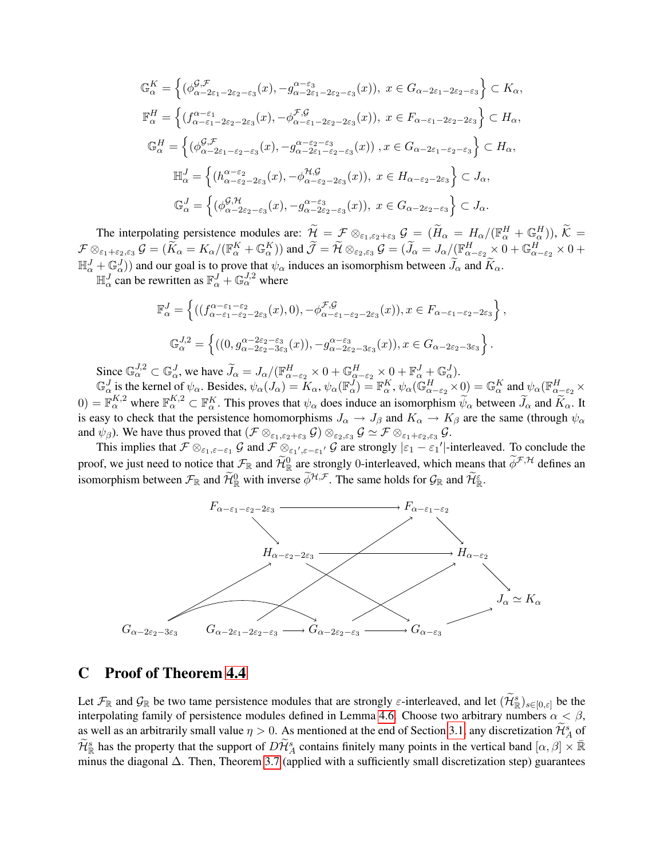$$
\mathbb{G}_{\alpha}^{K} = \left\{ (\phi_{\alpha-2\varepsilon_1-2\varepsilon_2-\varepsilon_3}^{\mathcal{G},\mathcal{F}}(x), -g_{\alpha-2\varepsilon_1-2\varepsilon_2-\varepsilon_3}^{\alpha-\varepsilon_3}(x)), x \in G_{\alpha-2\varepsilon_1-2\varepsilon_2-\varepsilon_3} \right\} \subset K_{\alpha},
$$
  
\n
$$
\mathbb{F}_{\alpha}^{H} = \left\{ (f_{\alpha-\varepsilon_1-2\varepsilon_2-2\varepsilon_3}^{\alpha-\varepsilon_1}(x), -\phi_{\alpha-\varepsilon_1-2\varepsilon_2-2\varepsilon_3}^{\mathcal{F},\mathcal{G}}(x)), x \in F_{\alpha-\varepsilon_1-2\varepsilon_2-2\varepsilon_3} \right\} \subset H_{\alpha},
$$
  
\n
$$
\mathbb{G}_{\alpha}^{H} = \left\{ (\phi_{\alpha-2\varepsilon_1-\varepsilon_2-\varepsilon_3}^{\mathcal{G},\mathcal{F}}(x), -g_{\alpha-2\varepsilon_1-\varepsilon_2-\varepsilon_3}^{\alpha-\varepsilon_2-\varepsilon_3}(x)), x \in G_{\alpha-2\varepsilon_1-\varepsilon_2-\varepsilon_3} \right\} \subset H_{\alpha},
$$
  
\n
$$
\mathbb{H}_{\alpha}^{J} = \left\{ (h_{\alpha-\varepsilon_2-2\varepsilon_3}^{\alpha-\varepsilon_2}(x), -\phi_{\alpha-\varepsilon_2-2\varepsilon_3}^{\mathcal{H},\mathcal{G}}(x)), x \in H_{\alpha-\varepsilon_2-2\varepsilon_3} \right\} \subset J_{\alpha},
$$
  
\n
$$
\mathbb{G}_{\alpha}^{J} = \left\{ (\phi_{\alpha-2\varepsilon_2-\varepsilon_3}^{\mathcal{G},\mathcal{H}}(x), -g_{\alpha-2\varepsilon_2-\varepsilon_3}^{\alpha-\varepsilon_3}(x)), x \in G_{\alpha-2\varepsilon_2-\varepsilon_3} \right\} \subset J_{\alpha}.
$$

The interpolating persistence modules are:  $\widetilde{\mathcal{H}} = \mathcal{F} \otimes_{\varepsilon_1, \varepsilon_2 + \varepsilon_3} \mathcal{G} = (\widetilde{H}_{\alpha} = H_{\alpha}/(\mathbb{F}_{\alpha}^H + \mathbb{G}_{\alpha}^H)), \widetilde{\mathcal{K}} =$  $\mathcal{F} \otimes_{\varepsilon_1+\varepsilon_2,\varepsilon_3} \mathcal{G} = (\widetilde{K}_\alpha = K_\alpha/(\mathbb{F}_\alpha^K + \mathbb{G}_\alpha^K))$  and  $\widetilde{\mathcal{J}} = \widetilde{\mathcal{H}} \otimes_{\varepsilon_2,\varepsilon_3} \mathcal{G} = (\widetilde{J}_\alpha = J_\alpha/(\mathbb{F}_{\alpha-\varepsilon_2}^H \times 0 + \mathbb{G}_{\alpha-\varepsilon_2}^H \times 0 + \mathbb{G}_{\alpha-\varepsilon_2}^H \times 0 + \mathbb{G}_{\alpha-\varepsilon_3}^H \$  $\mathbb{H}_{\alpha}^{J} + \mathbb{G}_{\alpha}^{J}$ ) and our goal is to prove that  $\psi_{\alpha}$  induces an isomorphism between  $\widetilde{J}_{\alpha}$  and  $\widetilde{K}_{\alpha}$ .<br>  $\mathbb{H}_{\alpha}^{J}$  can be rewritten as  $\mathbb{F}_{\alpha}^{J} + \mathbb{G}_{\alpha}^{J,2}$  where

$$
\mathbb{F}_{\alpha}^{J} = \left\{ \left( \left( f_{\alpha-\varepsilon_1-\varepsilon_2-2\varepsilon_3}(x), 0 \right), -\phi_{\alpha-\varepsilon_1-\varepsilon_2-2\varepsilon_3}^{\mathcal{F},\mathcal{G}}(x) \right), x \in F_{\alpha-\varepsilon_1-\varepsilon_2-2\varepsilon_3} \right\},
$$
  

$$
\mathbb{G}_{\alpha}^{J,2} = \left\{ \left( \left( 0, g_{\alpha-2\varepsilon_2-\varepsilon_3}^{\alpha-2\varepsilon_2-\varepsilon_3}(x) \right), -g_{\alpha-2\varepsilon_2-3\varepsilon_3}^{\alpha-\varepsilon_3}(x) \right), x \in G_{\alpha-2\varepsilon_2-3\varepsilon_3} \right\}.
$$

Since  $\mathbb{G}_{\alpha}^{J,2} \subset \mathbb{G}_{\alpha}^{J}$ , we have  $\widetilde{J}_{\alpha} = J_{\alpha}/(\mathbb{F}_{\alpha-\varepsilon_2}^{H} \times 0 + \mathbb{G}_{\alpha-\varepsilon_2}^{H} \times 0 + \mathbb{F}_{\alpha}^{J} + \mathbb{G}_{\alpha}^{J})$ .

 $\mathbb{G}_{\alpha}^{J}$  is the kernel of  $\psi_{\alpha}$ . Besides,  $\psi_{\alpha}(J_{\alpha}) = K_{\alpha}$ ,  $\psi_{\alpha}(\mathbb{F}_{\alpha}^{J}) = \mathbb{F}_{\alpha}^{K}$ ,  $\psi_{\alpha}(\mathbb{G}_{\alpha-\varepsilon_{2}}^{H}\times 0) = \mathbb{G}_{\alpha}^{K}$  and  $\psi_{\alpha}(\mathbb{F}_{\alpha-\varepsilon_{2}}^{H}\times 0)$  $(0) = \mathbb{F}_\alpha^{K,2}$  where  $\mathbb{F}_\alpha^{K,2} \subset \mathbb{F}_\alpha^K$ . This proves that  $\psi_\alpha$  does induce an isomorphism  $\widetilde{\psi}_\alpha$  between  $\widetilde{J}_\alpha$  and  $\widetilde{K}_\alpha$ . It is easy to check that the persistence homomorphisms  $J_{\alpha} \to J_{\beta}$  and  $K_{\alpha} \to K_{\beta}$  are the same (through  $\psi_{\alpha}$ and  $\psi_{\beta}$ ). We have thus proved that  $(\mathcal{F} \otimes_{\varepsilon_1,\varepsilon_2+\varepsilon_3} \mathcal{G}) \otimes_{\varepsilon_2,\varepsilon_3} \mathcal{G} \simeq \mathcal{F} \otimes_{\varepsilon_1+\varepsilon_2,\varepsilon_3} \mathcal{G}$ .

This implies that  $\mathcal{F} \otimes_{\varepsilon_1,\varepsilon-\varepsilon_1} \mathcal{G}$  and  $\mathcal{F} \otimes_{\varepsilon_1',\varepsilon-\varepsilon_1'} \mathcal{G}$  are strongly  $|\varepsilon_1 - \varepsilon_1'|$ -interleaved. To conclude the proof, we just need to notice that  $\mathcal{F}_{\mathbb{R}}$  and  $\widetilde{\mathcal{H}}_{\mathbb{R}}^0$  are strongly 0-interleaved, which means that  $\widetilde{\phi}^{\mathcal{F},\mathcal{H}}$  defines an isomorphism between  $\mathcal{F}_{\mathbb{R}}$  and  $\widetilde{\mathcal{H}}_{\mathbb{R}}^0$  with inverse  $\widetilde{\phi}^{\mathcal{H},\mathcal{F}}$ . The same holds for  $\mathcal{G}_{\mathbb{R}}$  and  $\widetilde{\mathcal{H}}_{\mathbb{R}}^{\varepsilon}$ .



## <span id="page-14-0"></span>C Proof of Theorem [4.4](#page-8-3)

Let  $\mathcal{F}_{\mathbb{R}}$  and  $\mathcal{G}_{\mathbb{R}}$  be two tame persistence modules that are strongly  $\varepsilon$ -interleaved, and let  $(\widetilde{\mathcal{H}}_{\mathbb{R}}^s)_{s\in[0,\varepsilon]}$  be the interpolating family of persistence modules defined in Lemma [4.6.](#page-9-3) Choose two arbitrary numbers  $\alpha < \beta$ , as well as an arbitrarily small value  $\eta > 0$ . As mentioned at the end of Section [3.1,](#page-4-1) any discretization  $\widetilde{\mathcal{H}}_{A}^{s}$  of  $\widetilde{\mathcal{H}}_{\mathbb{R}}^s$  has the property that the support of  $D\widetilde{\mathcal{H}}_A^s$  contains finitely many points in the vertical band  $[\alpha, \beta] \times \mathbb{R}$ minus the diagonal ∆. Then, Theorem [3.7](#page-6-1) (applied with a sufficiently small discretization step) guarantees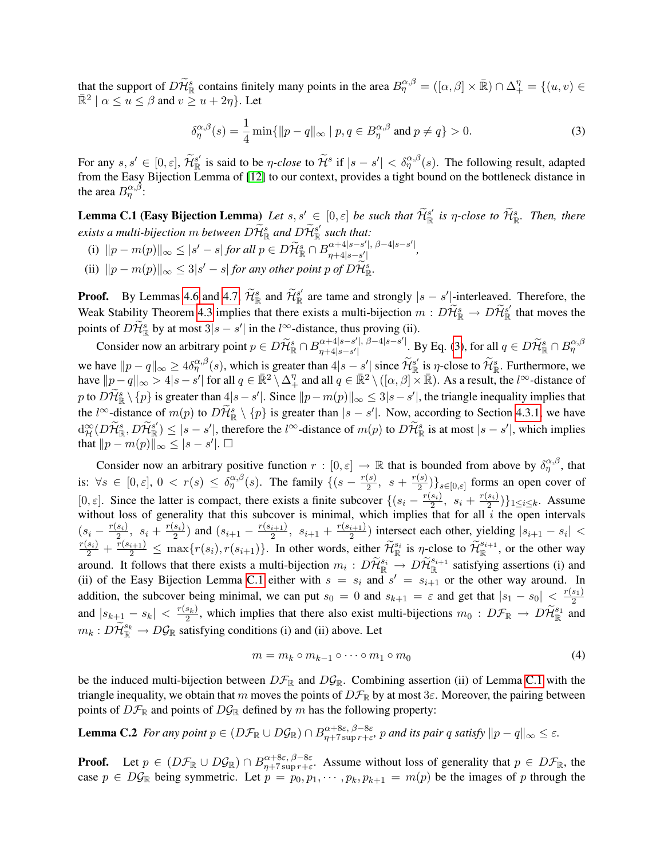that the support of  $D\widetilde{\mathcal{H}}_{\mathbb{R}}^s$  contains finitely many points in the area  $B_{\eta}^{\alpha,\beta} = ([\alpha,\beta] \times \mathbb{R}) \cap \Delta_+^{\eta} = \{(u,v) \in \mathbb{R}^3_+\}$  $\mathbb{R}^2 \mid \alpha \leq u \leq \beta$  and  $v \geq u + 2\eta$ . Let

<span id="page-15-1"></span><span id="page-15-0"></span>
$$
\delta_{\eta}^{\alpha,\beta}(s) = \frac{1}{4} \min\{\|p - q\|_{\infty} \mid p, q \in B_{\eta}^{\alpha,\beta} \text{ and } p \neq q\} > 0. \tag{3}
$$

For any  $s, s' \in [0, \varepsilon], \widetilde{\mathcal{H}}_{\mathbb{R}}^{s'}$  is said to be  $\eta$ -close to  $\widetilde{\mathcal{H}}^s$  if  $|s - s'| < \delta_{\eta}^{\alpha,\beta}(s)$ . The following result, adapted from the Easy Bijection Lemma of [\[12\]](#page-11-1) to our context, provides a tight bound on the bottleneck distance in the area  $B^{\alpha, \beta}_{\eta}$ :

**Lemma C.1 (Easy Bijection Lemma)** Let  $s, s' \in [0, \varepsilon]$  be such that  $\widetilde{\mathcal{H}}_{\mathbb{R}}^{s'}$  is  $\eta$ -close to  $\widetilde{\mathcal{H}}_{\mathbb{R}}^s$ . Then, there exists a multi-bijection  $m$  between  $D\widetilde{\mathcal{H}}^s_{\mathbb{R}}$  and  $D\widetilde{\mathcal{H}}^{s'}_{\mathbb{R}}$  such that:

- (i)  $||p m(p)||_{\infty} \leq |s' s|$  *for all*  $p \in D\widetilde{\mathcal{H}}_{\mathbb{R}}^s \cap B^{\alpha+4|s-s'|}_{\eta+4|s-s'|}$ η+4|s−s 0 | *,*
- (ii)  $||p m(p)||_{\infty} \leq 3|s' s|$  *for any other point*  $p$  *of*  $D\widetilde{\mathcal{H}}_{\mathbb{R}}^{s}$ .

**Proof.** By Lemmas [4.6](#page-9-3) and [4.7,](#page-10-0)  $\widetilde{\mathcal{H}}_{\mathbb{R}}^s$  and  $\widetilde{\mathcal{H}}_{\mathbb{R}}^{s'}$  are tame and strongly  $|s - s'|$ -interleaved. Therefore, the Weak Stability Theorem [4.3](#page-8-2) implies that there exists a multi-bijection  $m: D\widetilde{\mathcal{H}}^s_{\mathbb{R}} \to D\widetilde{\mathcal{H}}^s_{\mathbb{R}}$  that moves the points of  $D\widetilde{\mathcal{H}}_{\mathbb{R}}^s$  by at most  $3|s-s'|$  in the  $l^{\infty}$ -distance, thus proving (ii).

Consider now an arbitrary point  $p \in D\widetilde{\mathcal{H}}_{\mathbb{R}}^s \cap B_{\eta+4|s-s'|}^{\alpha+4|s-s'|}$  $\alpha+4|s-s'|$ ,  $\beta-4|s-s'|$ . By Eq. [\(3\)](#page-15-0), for all  $q \in D\widetilde{\mathcal{H}}^s_{\mathbb{R}} \cap B^{\alpha, \beta}_{\eta}$ we have  $||p - q||_{\infty} \ge 4\delta_{\eta}^{\alpha,\beta}(s)$ , which is greater than  $4|s - s'|$  since  $\widetilde{\mathcal{H}}_{\mathbb{R}}^{s'}$  is  $\eta$ -close to  $\widetilde{\mathcal{H}}_{\mathbb{R}}^{s}$ . Furthermore, we have  $||p-q||_{\infty} > 4|s-s'|$  for all  $q \in \mathbb{R}^2 \setminus \Delta_+^{\eta}$  and all  $q \in \mathbb{R}^2 \setminus ([\alpha, \beta] \times \mathbb{R})$ . As a result, the  $l^{\infty}$ -distance of p to  $D\widetilde{\mathcal{H}}_{\mathbb{R}}^s \setminus \{p\}$  is greater than  $4|s - s'|$ . Since  $||p - m(p)||_{\infty} \leq 3|s - s'|$ , the triangle inequality implies that the l<sup>∞</sup>-distance of  $m(p)$  to  $D\widetilde{\mathcal{H}}_{\mathbb{R}}^s \setminus \{p\}$  is greater than  $|s - s'|$ . Now, according to Section [4.3.1,](#page-9-1) we have  $\deg_{\mathcal{H}}^{\infty}(D\widetilde{\mathcal{H}}_{\mathbb{R}}^{s'}, D\widetilde{\mathcal{H}}_{\mathbb{R}}^{s'}) \leq |s - s'|$ , therefore the  $l^{\infty}$ -distance of  $m(p)$  to  $D\widetilde{\mathcal{H}}_{\mathbb{R}}^{s}$  is at most  $|s - s'|$ , which implies that  $||p - m(p)||_{\infty} \leq |s - s'|$ .  $\Box$ 

Consider now an arbitrary positive function  $r : [0, \varepsilon] \to \mathbb{R}$  that is bounded from above by  $\delta^{\alpha, \beta}_{\eta}$ , that is:  $\forall s \in [0, \varepsilon], 0 < r(s) \leq \delta_n^{\alpha,\beta}(s)$ . The family  $\{(s - \frac{r(s)}{2})\}$  $\frac{(s)}{2}, s + \frac{r(s)}{2}$  $\{2^{(s)}\}_{s\in[0,\varepsilon]}$  forms an open cover of [0,  $\varepsilon$ ]. Since the latter is compact, there exists a finite subcover  $\{(s_i - \frac{r(s_i)}{2})\}$  $\frac{(s_i)}{2}, s_i + \frac{r(s_i)}{2}$  $\{\frac{s_i}{2}\}\}_{1\leq i\leq k}$ . Assume without loss of generality that this subcover is minimal, which implies that for all  $i$  the open intervals  $(s_i-\frac{r(s_i)}{2})$  $\frac{s_i}{2}, s_i + \frac{r(s_i)}{2}$  $\frac{1}{2}$  and  $(s_{i+1} - \frac{r(s_{i+1})}{2})$  $\frac{i+1}{2}$ ,  $s_{i+1} + \frac{r(s_{i+1})}{2}$  $\frac{i+1}{2}$ ) intersect each other, yielding  $|s_{i+1} - s_i|$  <  $\frac{r(s_i)}{2} + \frac{r(s_{i+1})}{2} \le \max\{r(s_i), r(s_{i+1})\}\$ . In other words, either  $\widetilde{\mathcal{H}}_{\mathbb{R}}^{s_i}$  is  $\eta$ -close to  $\widetilde{\mathcal{H}}_{\mathbb{R}}^{s_{i+1}}$ , or the other way around. It follows that there exists a multi-bijection  $m_i : D\widetilde{\mathcal{H}}_{\mathbb{R}}^{s_i} \to D\widetilde{\mathcal{H}}_{\mathbb{R}}^{s_{i+1}}$  satisfying assertions (i) and (ii) of the Easy Bijection Lemma [C.1](#page-15-1) either with  $s = s_i$  and  $s' = s_{i+1}$  or the other way around. In addition, the subcover being minimal, we can put  $s_0 = 0$  and  $s_{k+1} = \varepsilon$  and get that  $|s_1 - s_0| < \frac{r(s_1)}{2}$ 2 and  $|s_{k+1} - s_k| < \frac{r(s_k)}{2}$  $\frac{s_k}{2}$ , which implies that there also exist multi-bijections  $m_0: D\mathcal{F}_{\mathbb{R}} \to D\widetilde{\mathcal{H}}_{\mathbb{R}}^{s_1}$  and  $m_k: D\widetilde{\mathcal{H}}_{\mathbb{R}}^{s_k} \to D\mathcal{G}_{\mathbb{R}}$  satisfying conditions (i) and (ii) above. Let

<span id="page-15-3"></span><span id="page-15-2"></span>
$$
m = m_k \circ m_{k-1} \circ \cdots \circ m_1 \circ m_0 \tag{4}
$$

be the induced multi-bijection between  $D\mathcal{F}_{\mathbb{R}}$  and  $D\mathcal{G}_{\mathbb{R}}$ . Combining assertion (ii) of Lemma [C.1](#page-15-1) with the triangle inequality, we obtain that m moves the points of  $D\mathcal{F}_{\mathbb{R}}$  by at most  $3\varepsilon$ . Moreover, the pairing between points of  $D\mathcal{F}_{\mathbb{R}}$  and points of  $D\mathcal{G}_{\mathbb{R}}$  defined by m has the following property:

**Lemma C.2** For any point  $p \in (D\mathcal{F}_{\mathbb{R}} \cup D\mathcal{G}_{\mathbb{R}}) \cap B_{n+7\text{ sup }r+s}^{\alpha+8\varepsilon, \beta-8\varepsilon}$  $\alpha + \delta \varepsilon, \beta - \delta \varepsilon$ , p and its pair q satisfy  $||p - q||_{\infty} \le \varepsilon$ .

**Proof.** Let  $p \in (D\mathcal{F}_{\mathbb{R}} \cup D\mathcal{G}_{\mathbb{R}}) \cap B_{n+7\text{ sup }r+\varepsilon}^{\alpha+8\varepsilon,\beta-8\varepsilon}$  $\alpha+\beta\varepsilon, \beta-\delta\varepsilon$ . Assume without loss of generality that  $p \in D\mathcal{F}_{\mathbb{R}}$ , the case  $p \in D\mathcal{G}_{\mathbb{R}}$  being symmetric. Let  $p = p_0, p_1, \cdots, p_k, p_{k+1} = m(p)$  be the images of p through the